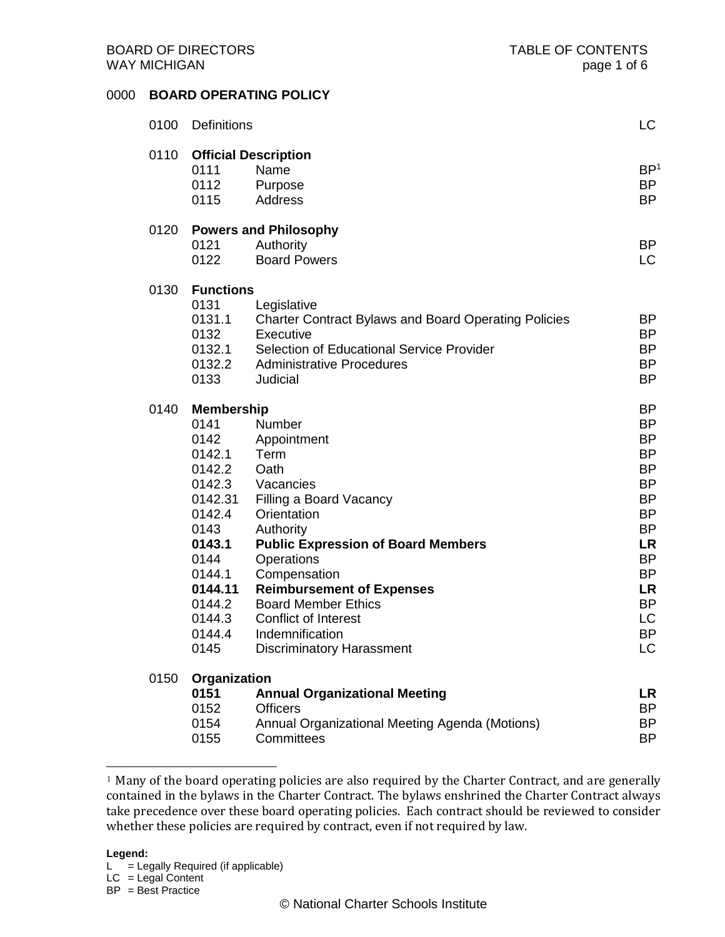## 0000 **BOARD OPERATING POLICY**

| 0100 | <b>Definitions</b>                                                                                                                                              |                                                                                                                                                                                                                                                                                                                                                     | LC                                                                                                                                                                                                    |
|------|-----------------------------------------------------------------------------------------------------------------------------------------------------------------|-----------------------------------------------------------------------------------------------------------------------------------------------------------------------------------------------------------------------------------------------------------------------------------------------------------------------------------------------------|-------------------------------------------------------------------------------------------------------------------------------------------------------------------------------------------------------|
| 0110 | 0111<br>0112<br>0115                                                                                                                                            | <b>Official Description</b><br>Name<br>Purpose<br>Address                                                                                                                                                                                                                                                                                           | BP <sup>1</sup><br>BP<br><b>BP</b>                                                                                                                                                                    |
| 0120 | 0121<br>0122                                                                                                                                                    | <b>Powers and Philosophy</b><br>Authority<br><b>Board Powers</b>                                                                                                                                                                                                                                                                                    | <b>BP</b><br>LC                                                                                                                                                                                       |
| 0130 | <b>Functions</b><br>0131<br>0131.1<br>0132<br>0132.1<br>0133                                                                                                    | Legislative<br><b>Charter Contract Bylaws and Board Operating Policies</b><br>Executive<br>Selection of Educational Service Provider<br>0132.2 Administrative Procedures<br>Judicial                                                                                                                                                                | BP<br><b>BP</b><br><b>BP</b><br><b>BP</b><br><b>BP</b>                                                                                                                                                |
| 0140 | <b>Membership</b><br>0141<br>0142<br>0142.1<br>0142.2<br>0142.31<br>0142.4<br>0143<br>0143.1<br>0144<br>0144.1<br>0144.11<br>0144.2<br>0144.3<br>0144.4<br>0145 | Number<br>Appointment<br>Term<br>Oath<br>0142.3 Vacancies<br>Filling a Board Vacancy<br>Orientation<br>Authority<br><b>Public Expression of Board Members</b><br>Operations<br>Compensation<br><b>Reimbursement of Expenses</b><br><b>Board Member Ethics</b><br><b>Conflict of Interest</b><br>Indemnification<br><b>Discriminatory Harassment</b> | <b>BP</b><br>BP<br><b>BP</b><br><b>BP</b><br><b>BP</b><br><b>BP</b><br><b>BP</b><br><b>BP</b><br><b>BP</b><br><b>LR</b><br><b>BP</b><br><b>BP</b><br>LR<br><b>BP</b><br><b>LC</b><br><b>BP</b><br>LC. |
| 0150 | Organization<br>0151<br>0152<br>0154<br>0155                                                                                                                    | <b>Annual Organizational Meeting</b><br><b>Officers</b><br>Annual Organizational Meeting Agenda (Motions)<br>Committees                                                                                                                                                                                                                             | LR<br>BP<br>BP<br>ΒP                                                                                                                                                                                  |

#### **Legend:**

<sup>&</sup>lt;sup>1</sup> Many of the board operating policies are also required by the Charter Contract, and are generally contained in the bylaws in the Charter Contract. The bylaws enshrined the Charter Contract always take precedence over these board operating policies. Each contract should be reviewed to consider whether these policies are required by contract, even if not required by law.

 $L =$  Legally Required (if applicable)

 $LC = Legal Content$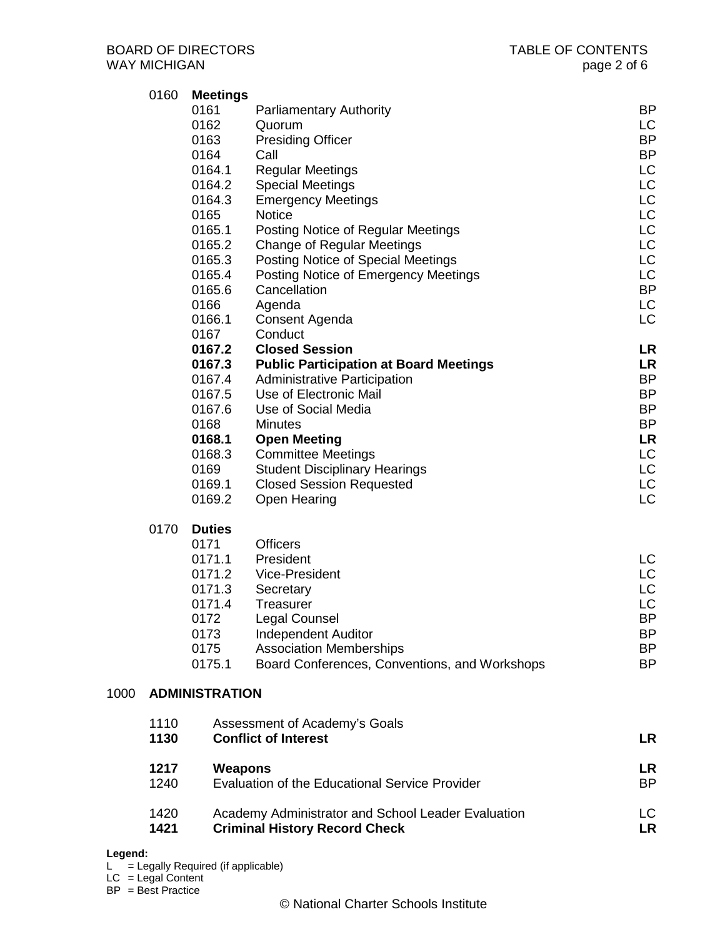|      | 0160<br>0170 | <b>Meetings</b><br>0161<br>0162<br>0163<br>0164<br>0164.1<br>0164.2<br>0164.3<br>0165<br>0165.1<br>0165.2<br>0165.3<br>0165.4<br>0165.6<br>0166<br>0166.1<br>0167<br>0167.2<br>0167.3<br>0167.4<br>0167.5<br>0167.6<br>0168<br>0168.1<br>0168.3<br>0169<br>0169.1<br>0169.2<br><b>Duties</b><br>0171 | <b>Parliamentary Authority</b><br>Quorum<br><b>Presiding Officer</b><br>Call<br><b>Regular Meetings</b><br><b>Special Meetings</b><br><b>Emergency Meetings</b><br><b>Notice</b><br>Posting Notice of Regular Meetings<br><b>Change of Regular Meetings</b><br>Posting Notice of Special Meetings<br>Posting Notice of Emergency Meetings<br>Cancellation<br>Agenda<br>Consent Agenda<br>Conduct<br><b>Closed Session</b><br><b>Public Participation at Board Meetings</b><br><b>Administrative Participation</b><br>Use of Electronic Mail<br>Use of Social Media<br><b>Minutes</b><br><b>Open Meeting</b><br><b>Committee Meetings</b><br><b>Student Disciplinary Hearings</b><br><b>Closed Session Requested</b><br><b>Open Hearing</b><br><b>Officers</b> |  | <b>BP</b><br>LC.<br><b>BP</b><br><b>BP</b><br>LC<br>LC<br><b>LC</b><br>LC<br>LC<br>LC<br>LC<br>LC<br><b>BP</b><br>LC<br>LC<br><b>LR</b><br><b>LR</b><br><b>BP</b><br><b>BP</b><br><b>BP</b><br><b>BP</b><br>LR<br>LC<br>LC<br>LC<br>LC |  |
|------|--------------|------------------------------------------------------------------------------------------------------------------------------------------------------------------------------------------------------------------------------------------------------------------------------------------------------|---------------------------------------------------------------------------------------------------------------------------------------------------------------------------------------------------------------------------------------------------------------------------------------------------------------------------------------------------------------------------------------------------------------------------------------------------------------------------------------------------------------------------------------------------------------------------------------------------------------------------------------------------------------------------------------------------------------------------------------------------------------|--|----------------------------------------------------------------------------------------------------------------------------------------------------------------------------------------------------------------------------------------|--|
|      |              | 0171.1<br>0171.2<br>0171.3<br>0171.4<br>0172<br>0173<br>0175<br>0175.1                                                                                                                                                                                                                               | President<br>Vice-President<br>Secretary<br><b>Treasurer</b><br>Legal Counsel<br><b>Independent Auditor</b><br><b>Association Memberships</b><br>Board Conferences, Conventions, and Workshops                                                                                                                                                                                                                                                                                                                                                                                                                                                                                                                                                                |  | LC<br>LC<br>LC<br><b>LC</b><br>BP<br>BP<br>BP<br><b>BP</b>                                                                                                                                                                             |  |
| 1000 |              | <b>ADMINISTRATION</b>                                                                                                                                                                                                                                                                                |                                                                                                                                                                                                                                                                                                                                                                                                                                                                                                                                                                                                                                                                                                                                                               |  |                                                                                                                                                                                                                                        |  |
|      | 1110<br>1130 |                                                                                                                                                                                                                                                                                                      | Assessment of Academy's Goals<br><b>Conflict of Interest</b>                                                                                                                                                                                                                                                                                                                                                                                                                                                                                                                                                                                                                                                                                                  |  | LR                                                                                                                                                                                                                                     |  |
|      | 1217<br>1240 | <b>Weapons</b>                                                                                                                                                                                                                                                                                       | Evaluation of the Educational Service Provider                                                                                                                                                                                                                                                                                                                                                                                                                                                                                                                                                                                                                                                                                                                |  | LR<br><b>BP</b>                                                                                                                                                                                                                        |  |
|      | 1420<br>1421 |                                                                                                                                                                                                                                                                                                      | Academy Administrator and School Leader Evaluation<br><b>Criminal History Record Check</b>                                                                                                                                                                                                                                                                                                                                                                                                                                                                                                                                                                                                                                                                    |  | LC.<br><b>LR</b>                                                                                                                                                                                                                       |  |

## **Legend:**

 $L =$  Legally Required (if applicable)

 $LC = Legal Content$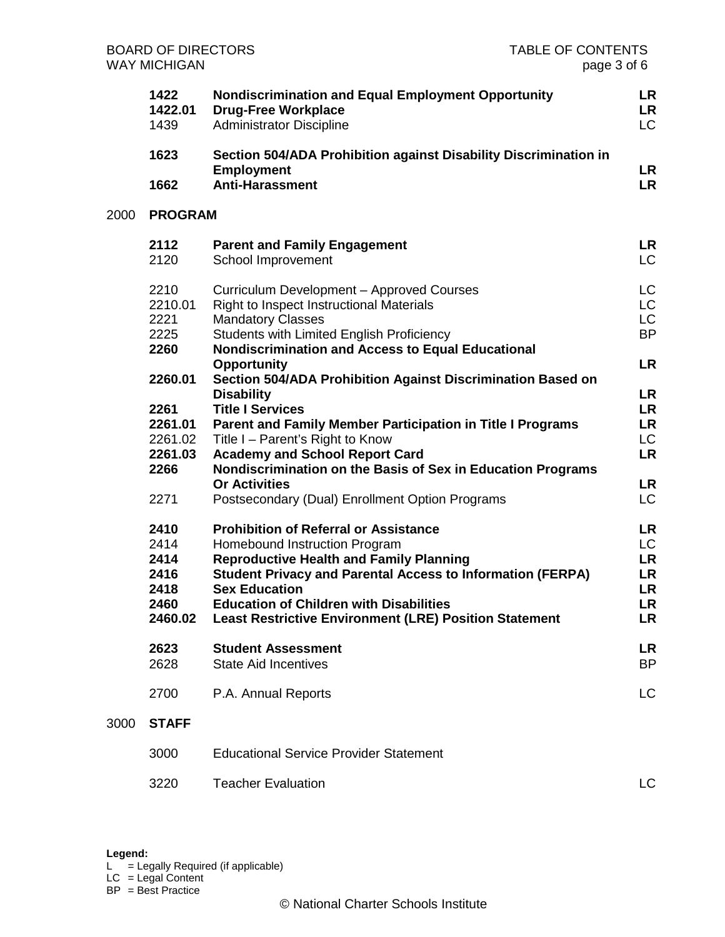| <b>BOARD OF DIRECTORS</b><br><b>WAY MICHIGAN</b> |                                                         | <b>TABLE OF CONTENTS</b><br>page 3 of 6                                                                                                                                                                                                                                                                                                         |                                               |
|--------------------------------------------------|---------------------------------------------------------|-------------------------------------------------------------------------------------------------------------------------------------------------------------------------------------------------------------------------------------------------------------------------------------------------------------------------------------------------|-----------------------------------------------|
|                                                  | 1422<br>1422.01<br>1439                                 | <b>Nondiscrimination and Equal Employment Opportunity</b><br><b>Drug-Free Workplace</b><br><b>Administrator Discipline</b>                                                                                                                                                                                                                      | LR<br>LR<br>LC                                |
|                                                  | 1623                                                    | Section 504/ADA Prohibition against Disability Discrimination in<br><b>Employment</b>                                                                                                                                                                                                                                                           | LR                                            |
|                                                  | 1662                                                    | <b>Anti-Harassment</b>                                                                                                                                                                                                                                                                                                                          | <b>LR</b>                                     |
| 2000                                             | <b>PROGRAM</b>                                          |                                                                                                                                                                                                                                                                                                                                                 |                                               |
|                                                  | 2112<br>2120                                            | <b>Parent and Family Engagement</b><br>School Improvement                                                                                                                                                                                                                                                                                       | LR<br>LC                                      |
|                                                  | 2210<br>2210.01<br>2221<br>2225<br>2260                 | Curriculum Development - Approved Courses<br>Right to Inspect Instructional Materials<br><b>Mandatory Classes</b><br>Students with Limited English Proficiency<br><b>Nondiscrimination and Access to Equal Educational</b><br><b>Opportunity</b>                                                                                                | LC<br>LC<br>LC<br><b>BP</b><br><b>LR</b>      |
|                                                  | 2260.01                                                 | Section 504/ADA Prohibition Against Discrimination Based on                                                                                                                                                                                                                                                                                     |                                               |
|                                                  | 2261<br>2261.01<br>2261.02<br>2261.03<br>2266           | <b>Disability</b><br><b>Title I Services</b><br>Parent and Family Member Participation in Title I Programs<br>Title I - Parent's Right to Know<br><b>Academy and School Report Card</b><br>Nondiscrimination on the Basis of Sex in Education Programs                                                                                          | LR<br><b>LR</b><br>LR<br>LC<br><b>LR</b>      |
|                                                  | 2271                                                    | <b>Or Activities</b><br>Postsecondary (Dual) Enrollment Option Programs                                                                                                                                                                                                                                                                         | LR<br>LC                                      |
|                                                  | 2410<br>2414<br>2414<br>2416<br>2418<br>2460<br>2460.02 | <b>Prohibition of Referral or Assistance</b><br>Homebound Instruction Program<br><b>Reproductive Health and Family Planning</b><br><b>Student Privacy and Parental Access to Information (FERPA)</b><br><b>Sex Education</b><br><b>Education of Children with Disabilities</b><br><b>Least Restrictive Environment (LRE) Position Statement</b> | LR<br>LC<br>LR<br><b>LR</b><br>LR<br>LR<br>LR |
|                                                  | 2623<br>2628                                            | <b>Student Assessment</b><br><b>State Aid Incentives</b>                                                                                                                                                                                                                                                                                        | <b>LR</b><br><b>BP</b>                        |
|                                                  | 2700                                                    | P.A. Annual Reports                                                                                                                                                                                                                                                                                                                             | <b>LC</b>                                     |
| 3000                                             | <b>STAFF</b>                                            |                                                                                                                                                                                                                                                                                                                                                 |                                               |
|                                                  | 3000                                                    | <b>Educational Service Provider Statement</b>                                                                                                                                                                                                                                                                                                   |                                               |
|                                                  | 3220                                                    | <b>Teacher Evaluation</b>                                                                                                                                                                                                                                                                                                                       | LC                                            |

 $LC = Legal Content$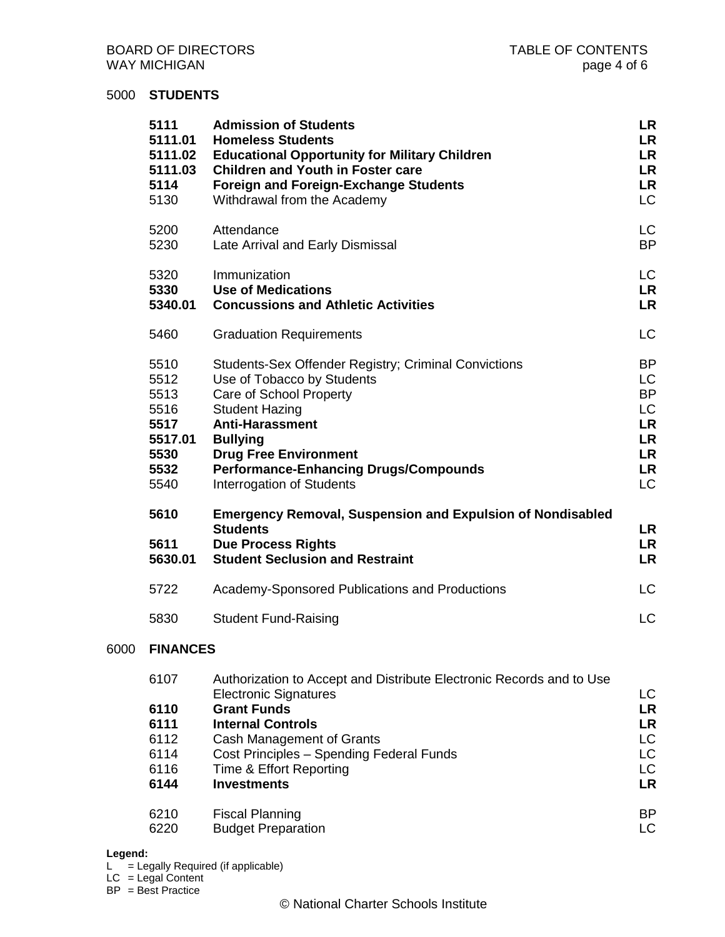## 5000 **STUDENTS**

| 5111<br>5111.01<br>5111.02<br>5111.03<br>5114<br>5130                   | <b>Admission of Students</b><br><b>Homeless Students</b><br><b>Educational Opportunity for Military Children</b><br><b>Children and Youth in Foster care</b><br><b>Foreign and Foreign-Exchange Students</b><br>Withdrawal from the Academy                                                             | LR<br><b>LR</b><br>LR<br><b>LR</b><br><b>LR</b><br>LC                                        |
|-------------------------------------------------------------------------|---------------------------------------------------------------------------------------------------------------------------------------------------------------------------------------------------------------------------------------------------------------------------------------------------------|----------------------------------------------------------------------------------------------|
| 5200<br>5230                                                            | Attendance<br>Late Arrival and Early Dismissal                                                                                                                                                                                                                                                          | LC<br><b>BP</b>                                                                              |
| 5320<br>5330<br>5340.01                                                 | Immunization<br><b>Use of Medications</b><br><b>Concussions and Athletic Activities</b>                                                                                                                                                                                                                 | LC<br><b>LR</b><br><b>LR</b>                                                                 |
| 5460                                                                    | <b>Graduation Requirements</b>                                                                                                                                                                                                                                                                          | <b>LC</b>                                                                                    |
| 5510<br>5512<br>5513<br>5516<br>5517<br>5517.01<br>5530<br>5532<br>5540 | <b>Students-Sex Offender Registry; Criminal Convictions</b><br>Use of Tobacco by Students<br>Care of School Property<br><b>Student Hazing</b><br><b>Anti-Harassment</b><br><b>Bullying</b><br><b>Drug Free Environment</b><br><b>Performance-Enhancing Drugs/Compounds</b><br>Interrogation of Students | BP<br><b>LC</b><br><b>BP</b><br>LC<br><b>LR</b><br><b>LR</b><br><b>LR</b><br><b>LR</b><br>LC |
| 5610<br>5611<br>5630.01                                                 | <b>Emergency Removal, Suspension and Expulsion of Nondisabled</b><br><b>Students</b><br><b>Due Process Rights</b><br><b>Student Seclusion and Restraint</b>                                                                                                                                             | LR<br><b>LR</b><br><b>LR</b>                                                                 |
| 5722                                                                    | Academy-Sponsored Publications and Productions                                                                                                                                                                                                                                                          | <b>LC</b>                                                                                    |
| 5830                                                                    | <b>Student Fund-Raising</b>                                                                                                                                                                                                                                                                             | <b>LC</b>                                                                                    |
| <b>FINANCES</b>                                                         |                                                                                                                                                                                                                                                                                                         |                                                                                              |
| 6107<br>6110<br>6111                                                    | Authorization to Accept and Distribute Electronic Records and to Use<br><b>Electronic Signatures</b><br><b>Grant Funds</b><br><b>Internal Controls</b>                                                                                                                                                  | LC.<br><b>LR</b><br><b>LR</b>                                                                |

- 
- 6112 Cash Management of Grants LC 6114 Cost Principles – Spending Federal Funds LC 6116 Time & Effort Reporting density of the Contract of the Contract of the Contract of the Contract of the Co<br>6144 Investments LR **Investments** 6210 Fiscal Planning BP<br>6220 Budget Preparation BP
- 6220 Budget Preparation

#### **Legend:**

6000 **FINANCES** 

 $L =$  Legally Required (if applicable)

 $LC = Legal Content$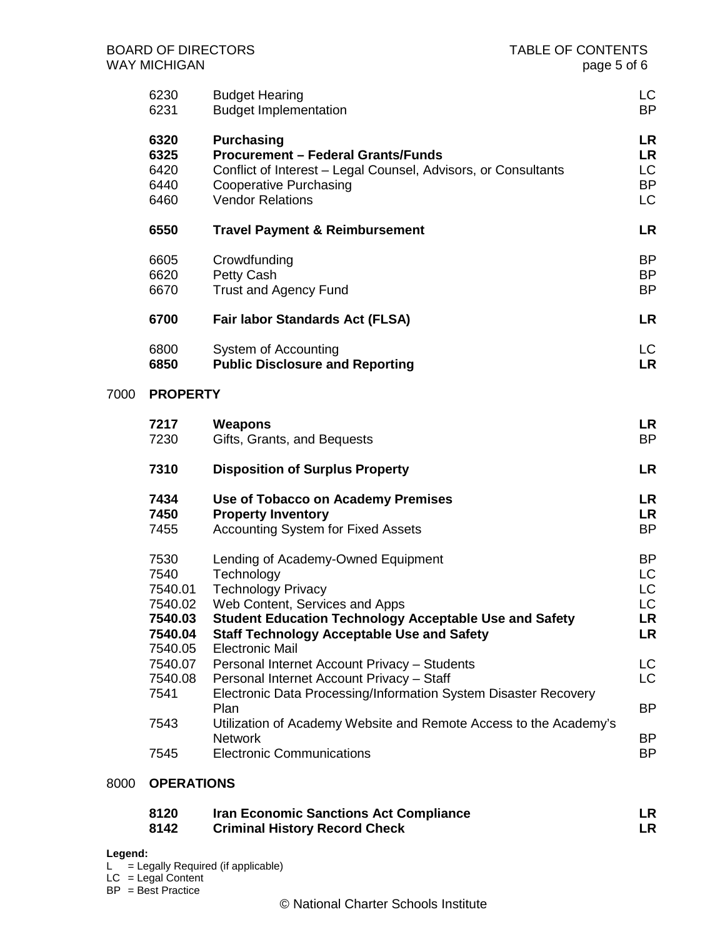|      | <b>BOARD OF DIRECTORS</b><br><b>WAY MICHIGAN</b>         |                                                                                                                                                                                                                                       | <b>TABLE OF CONTENTS</b><br>page 5 of 6          |
|------|----------------------------------------------------------|---------------------------------------------------------------------------------------------------------------------------------------------------------------------------------------------------------------------------------------|--------------------------------------------------|
|      | 6230<br>6231                                             | <b>Budget Hearing</b><br><b>Budget Implementation</b>                                                                                                                                                                                 | LC<br><b>BP</b>                                  |
|      | 6320<br>6325<br>6420<br>6440<br>6460                     | <b>Purchasing</b><br><b>Procurement - Federal Grants/Funds</b><br>Conflict of Interest - Legal Counsel, Advisors, or Consultants<br><b>Cooperative Purchasing</b><br><b>Vendor Relations</b>                                          | LR<br><b>LR</b><br>LC<br><b>BP</b><br>LC         |
|      | 6550                                                     | <b>Travel Payment &amp; Reimbursement</b>                                                                                                                                                                                             | <b>LR</b>                                        |
|      | 6605<br>6620<br>6670                                     | Crowdfunding<br><b>Petty Cash</b><br><b>Trust and Agency Fund</b>                                                                                                                                                                     | <b>BP</b><br><b>BP</b><br><b>BP</b>              |
|      | 6700                                                     | <b>Fair labor Standards Act (FLSA)</b>                                                                                                                                                                                                | LR                                               |
|      | 6800<br>6850                                             | System of Accounting<br><b>Public Disclosure and Reporting</b>                                                                                                                                                                        | LC.<br><b>LR</b>                                 |
| 7000 | <b>PROPERTY</b>                                          |                                                                                                                                                                                                                                       |                                                  |
|      | 7217<br>7230                                             | <b>Weapons</b><br>Gifts, Grants, and Bequests                                                                                                                                                                                         | LR<br><b>BP</b>                                  |
|      | 7310                                                     | <b>Disposition of Surplus Property</b>                                                                                                                                                                                                | LR                                               |
|      | 7434<br>7450<br>7455                                     | Use of Tobacco on Academy Premises<br><b>Property Inventory</b><br><b>Accounting System for Fixed Assets</b>                                                                                                                          | LR<br>LR<br><b>BP</b>                            |
|      | 7530<br>7540<br>7540.01<br>7540.02<br>7540.03<br>7540.04 | Lending of Academy-Owned Equipment<br>Technology<br><b>Technology Privacy</b><br>Web Content, Services and Apps<br><b>Student Education Technology Acceptable Use and Safety</b><br><b>Staff Technology Acceptable Use and Safety</b> | <b>BP</b><br><b>LC</b><br>LC.<br>LC.<br>LR<br>LR |
|      | 7540.05<br>7540.07<br>7540.08                            | <b>Electronic Mail</b><br>Personal Internet Account Privacy - Students<br>Personal Internet Account Privacy - Staff                                                                                                                   | LC<br>LC                                         |
|      | 7541                                                     | Electronic Data Processing/Information System Disaster Recovery<br>Plan                                                                                                                                                               | BP                                               |
|      | 7543                                                     | Utilization of Academy Website and Remote Access to the Academy's<br><b>Network</b>                                                                                                                                                   | BP.                                              |
|      | 7545                                                     | <b>Electronic Communications</b>                                                                                                                                                                                                      | BP                                               |

## 8000 **OPERATIONS**

| 8120 | <b>Iran Economic Sanctions Act Compliance</b> |  |
|------|-----------------------------------------------|--|
| 8142 | <b>Criminal History Record Check</b>          |  |

#### **Legend:**

- $L =$  Legally Required (if applicable)
- $LC = Legal Content$
- BP = Best Practice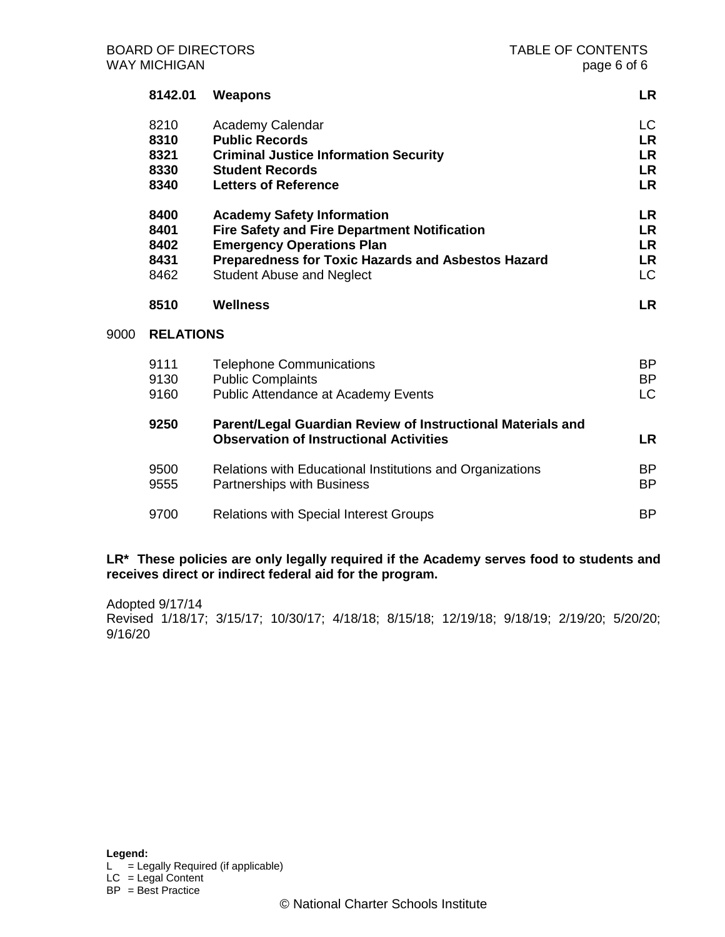|      | 8142.01                              | Weapons                                                                                                                                                                                                                | <b>LR</b>                                                     |
|------|--------------------------------------|------------------------------------------------------------------------------------------------------------------------------------------------------------------------------------------------------------------------|---------------------------------------------------------------|
|      | 8210<br>8310<br>8321<br>8330<br>8340 | Academy Calendar<br><b>Public Records</b><br><b>Criminal Justice Information Security</b><br><b>Student Records</b><br><b>Letters of Reference</b>                                                                     | <b>LC</b><br><b>LR</b><br><b>LR</b><br><b>LR</b><br><b>LR</b> |
|      | 8400<br>8401<br>8402<br>8431<br>8462 | <b>Academy Safety Information</b><br><b>Fire Safety and Fire Department Notification</b><br><b>Emergency Operations Plan</b><br>Preparedness for Toxic Hazards and Asbestos Hazard<br><b>Student Abuse and Neglect</b> | <b>LR</b><br>LR<br><b>LR</b><br>LR<br><b>LC</b>               |
|      | 8510                                 | <b>Wellness</b>                                                                                                                                                                                                        | <b>LR</b>                                                     |
| 9000 | <b>RELATIONS</b>                     |                                                                                                                                                                                                                        |                                                               |
|      | 9111<br>9130<br>9160                 | <b>Telephone Communications</b><br><b>Public Complaints</b><br>Public Attendance at Academy Events                                                                                                                     | <b>BP</b><br><b>BP</b><br><b>LC</b>                           |
|      | 9250                                 | Parent/Legal Guardian Review of Instructional Materials and<br><b>Observation of Instructional Activities</b>                                                                                                          | <b>LR</b>                                                     |
|      |                                      |                                                                                                                                                                                                                        |                                                               |
|      | 9500<br>9555                         | Relations with Educational Institutions and Organizations<br><b>Partnerships with Business</b>                                                                                                                         | <b>BP</b><br><b>BP</b>                                        |

# **LR\* These policies are only legally required if the Academy serves food to students and receives direct or indirect federal aid for the program.**

Adopted 9/17/14 Revised 1/18/17; 3/15/17; 10/30/17; 4/18/18; 8/15/18; 12/19/18; 9/18/19; 2/19/20; 5/20/20; 9/16/20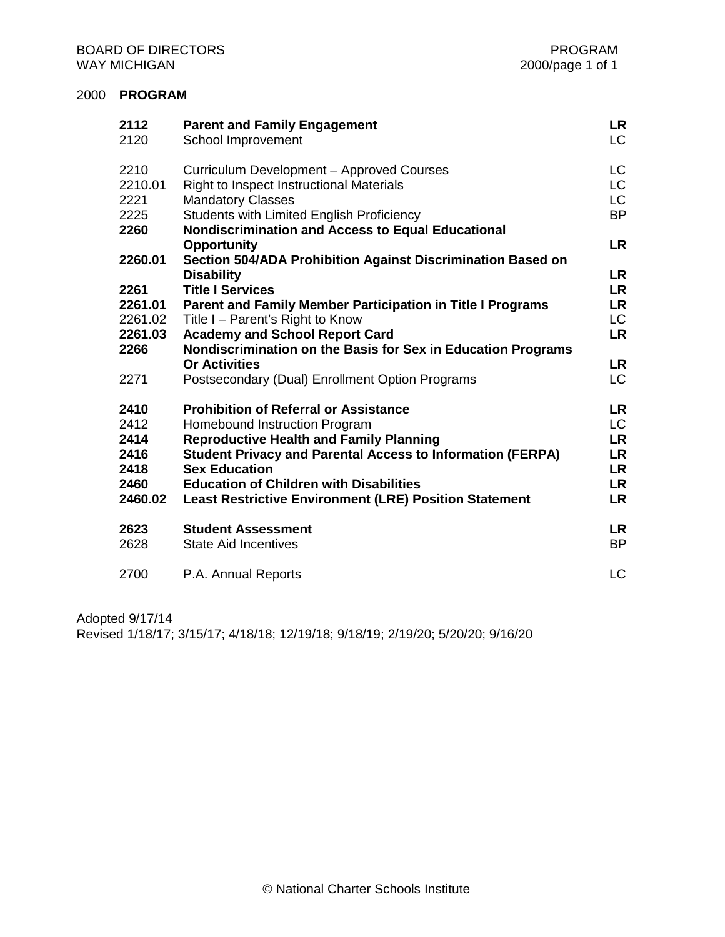## 2000 **PROGRAM**

| 2112<br>2120                                            | <b>Parent and Family Engagement</b><br>School Improvement                                                                                                                                                                                                                                                                                       | LR<br>LC                                                                    |
|---------------------------------------------------------|-------------------------------------------------------------------------------------------------------------------------------------------------------------------------------------------------------------------------------------------------------------------------------------------------------------------------------------------------|-----------------------------------------------------------------------------|
| 2210<br>2210.01<br>2221<br>2225<br>2260                 | Curriculum Development - Approved Courses<br>Right to Inspect Instructional Materials<br><b>Mandatory Classes</b><br>Students with Limited English Proficiency<br>Nondiscrimination and Access to Equal Educational                                                                                                                             | LC.<br>LC.<br>LC<br><b>BP</b>                                               |
| 2260.01                                                 | <b>Opportunity</b><br>Section 504/ADA Prohibition Against Discrimination Based on<br><b>Disability</b>                                                                                                                                                                                                                                          | <b>LR</b><br>LR                                                             |
| 2261                                                    | <b>Title I Services</b>                                                                                                                                                                                                                                                                                                                         | <b>LR</b>                                                                   |
| 2261.01<br>2261.02<br>2261.03<br>2266<br>2271           | Parent and Family Member Participation in Title I Programs<br>Title I - Parent's Right to Know<br><b>Academy and School Report Card</b><br>Nondiscrimination on the Basis for Sex in Education Programs<br><b>Or Activities</b><br>Postsecondary (Dual) Enrollment Option Programs                                                              | LR<br>LC.<br><b>LR</b><br>LR<br>LC                                          |
| 2410<br>2412<br>2414<br>2416<br>2418<br>2460<br>2460.02 | <b>Prohibition of Referral or Assistance</b><br>Homebound Instruction Program<br><b>Reproductive Health and Family Planning</b><br><b>Student Privacy and Parental Access to Information (FERPA)</b><br><b>Sex Education</b><br><b>Education of Children with Disabilities</b><br><b>Least Restrictive Environment (LRE) Position Statement</b> | <b>LR</b><br>LC.<br><b>LR</b><br><b>LR</b><br><b>LR</b><br>LR.<br><b>LR</b> |
| 2623<br>2628                                            | <b>Student Assessment</b><br><b>State Aid Incentives</b>                                                                                                                                                                                                                                                                                        | <b>LR</b><br><b>BP</b>                                                      |
| 2700                                                    | P.A. Annual Reports                                                                                                                                                                                                                                                                                                                             | <b>LC</b>                                                                   |

Adopted 9/17/14

Revised 1/18/17; 3/15/17; 4/18/18; 12/19/18; 9/18/19; 2/19/20; 5/20/20; 9/16/20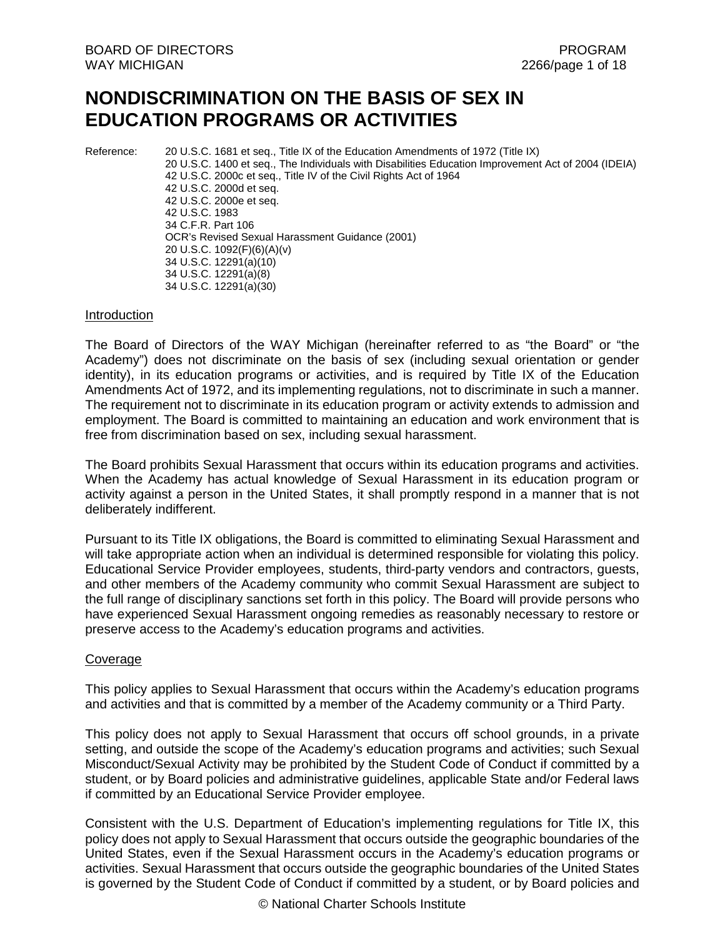# **NONDISCRIMINATION ON THE BASIS OF SEX IN EDUCATION PROGRAMS OR ACTIVITIES**

Reference: 20 U.S.C. 1681 et seq., Title IX of the Education Amendments of 1972 (Title IX) 20 U.S.C. 1400 et seq., The Individuals with Disabilities Education Improvement Act of 2004 (IDEIA) 42 U.S.C. 2000c et seq., Title IV of the Civil Rights Act of 1964 42 U.S.C. 2000d et seq. 42 U.S.C. 2000e et seq. 42 U.S.C. 1983 34 C.F.R. Part 106 OCR's Revised Sexual Harassment Guidance (2001) 20 U.S.C. 1092(F)(6)(A)(v) 34 U.S.C. 12291(a)(10) 34 U.S.C. 12291(a)(8) 34 U.S.C. 12291(a)(30)

#### Introduction

The Board of Directors of the WAY Michigan (hereinafter referred to as "the Board" or "the Academy") does not discriminate on the basis of sex (including sexual orientation or gender identity), in its education programs or activities, and is required by Title IX of the Education Amendments Act of 1972, and its implementing regulations, not to discriminate in such a manner. The requirement not to discriminate in its education program or activity extends to admission and employment. The Board is committed to maintaining an education and work environment that is free from discrimination based on sex, including sexual harassment.

The Board prohibits Sexual Harassment that occurs within its education programs and activities. When the Academy has actual knowledge of Sexual Harassment in its education program or activity against a person in the United States, it shall promptly respond in a manner that is not deliberately indifferent.

Pursuant to its Title IX obligations, the Board is committed to eliminating Sexual Harassment and will take appropriate action when an individual is determined responsible for violating this policy. Educational Service Provider employees, students, third-party vendors and contractors, guests, and other members of the Academy community who commit Sexual Harassment are subject to the full range of disciplinary sanctions set forth in this policy. The Board will provide persons who have experienced Sexual Harassment ongoing remedies as reasonably necessary to restore or preserve access to the Academy's education programs and activities.

## Coverage

This policy applies to Sexual Harassment that occurs within the Academy's education programs and activities and that is committed by a member of the Academy community or a Third Party.

This policy does not apply to Sexual Harassment that occurs off school grounds, in a private setting, and outside the scope of the Academy's education programs and activities; such Sexual Misconduct/Sexual Activity may be prohibited by the Student Code of Conduct if committed by a student, or by Board policies and administrative guidelines, applicable State and/or Federal laws if committed by an Educational Service Provider employee.

Consistent with the U.S. Department of Education's implementing regulations for Title IX, this policy does not apply to Sexual Harassment that occurs outside the geographic boundaries of the United States, even if the Sexual Harassment occurs in the Academy's education programs or activities. Sexual Harassment that occurs outside the geographic boundaries of the United States is governed by the Student Code of Conduct if committed by a student, or by Board policies and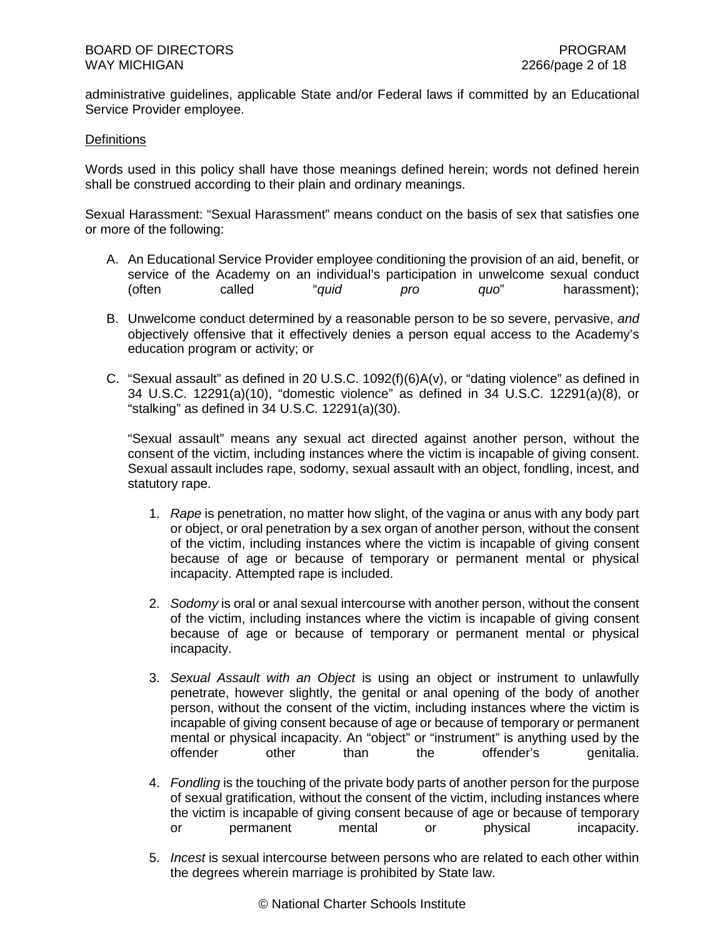administrative guidelines, applicable State and/or Federal laws if committed by an Educational Service Provider employee.

## **Definitions**

Words used in this policy shall have those meanings defined herein; words not defined herein shall be construed according to their plain and ordinary meanings.

Sexual Harassment: "Sexual Harassment" means conduct on the basis of sex that satisfies one or more of the following:

- A. An Educational Service Provider employee conditioning the provision of an aid, benefit, or service of the Academy on an individual's participation in unwelcome sexual conduct (often called "*quid pro quo*" harassment);
- B. Unwelcome conduct determined by a reasonable person to be so severe, pervasive, *and* objectively offensive that it effectively denies a person equal access to the Academy's education program or activity; or
- C. "Sexual assault" as defined in 20 U.S.C. 1092(f)(6)A(v), or "dating violence" as defined in 34 U.S.C. 12291(a)(10), "domestic violence" as defined in 34 U.S.C. 12291(a)(8), or "stalking" as defined in 34 U.S.C. 12291(a)(30).

"Sexual assault" means any sexual act directed against another person, without the consent of the victim, including instances where the victim is incapable of giving consent. Sexual assault includes rape, sodomy, sexual assault with an object, fondling, incest, and statutory rape.

- 1. *Rape* is penetration, no matter how slight, of the vagina or anus with any body part or object, or oral penetration by a sex organ of another person, without the consent of the victim, including instances where the victim is incapable of giving consent because of age or because of temporary or permanent mental or physical incapacity. Attempted rape is included.
- 2. *Sodomy* is oral or anal sexual intercourse with another person, without the consent of the victim, including instances where the victim is incapable of giving consent because of age or because of temporary or permanent mental or physical incapacity.
- 3. *Sexual Assault with an Object* is using an object or instrument to unlawfully penetrate, however slightly, the genital or anal opening of the body of another person, without the consent of the victim, including instances where the victim is incapable of giving consent because of age or because of temporary or permanent mental or physical incapacity. An "object" or "instrument" is anything used by the offender other than the offender's genitalia.
- 4. *Fondling* is the touching of the private body parts of another person for the purpose of sexual gratification, without the consent of the victim, including instances where the victim is incapable of giving consent because of age or because of temporary<br>or bhysical incapacity. or permanent mental or physical incapacity.
- 5. *Incest* is sexual intercourse between persons who are related to each other within the degrees wherein marriage is prohibited by State law.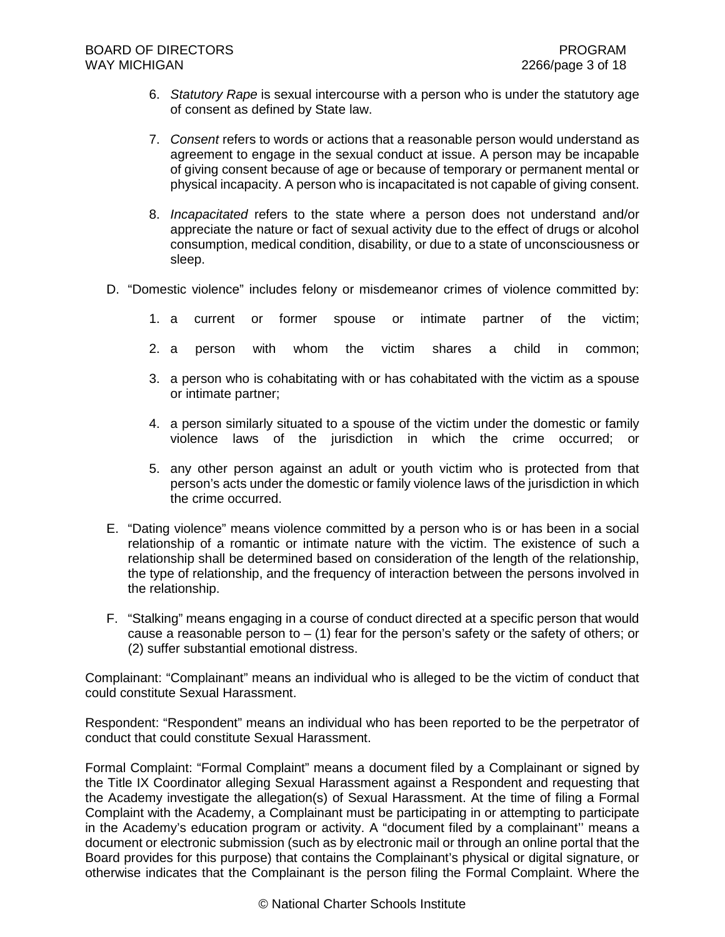- 6. *Statutory Rape* is sexual intercourse with a person who is under the statutory age of consent as defined by State law.
- 7. *Consent* refers to words or actions that a reasonable person would understand as agreement to engage in the sexual conduct at issue. A person may be incapable of giving consent because of age or because of temporary or permanent mental or physical incapacity. A person who is incapacitated is not capable of giving consent.
- 8. *Incapacitated* refers to the state where a person does not understand and/or appreciate the nature or fact of sexual activity due to the effect of drugs or alcohol consumption, medical condition, disability, or due to a state of unconsciousness or sleep.
- D. "Domestic violence" includes felony or misdemeanor crimes of violence committed by:
	- 1. a current or former spouse or intimate partner of the victim;
	- 2. a person with whom the victim shares a child in common;
	- 3. a person who is cohabitating with or has cohabitated with the victim as a spouse or intimate partner;
	- 4. a person similarly situated to a spouse of the victim under the domestic or family violence laws of the jurisdiction in which the crime occurred; or
	- 5. any other person against an adult or youth victim who is protected from that person's acts under the domestic or family violence laws of the jurisdiction in which the crime occurred.
- E. "Dating violence" means violence committed by a person who is or has been in a social relationship of a romantic or intimate nature with the victim. The existence of such a relationship shall be determined based on consideration of the length of the relationship, the type of relationship, and the frequency of interaction between the persons involved in the relationship.
- F. "Stalking" means engaging in a course of conduct directed at a specific person that would cause a reasonable person to  $-$  (1) fear for the person's safety or the safety of others; or (2) suffer substantial emotional distress.

Complainant: "Complainant" means an individual who is alleged to be the victim of conduct that could constitute Sexual Harassment.

Respondent: "Respondent" means an individual who has been reported to be the perpetrator of conduct that could constitute Sexual Harassment.

Formal Complaint: "Formal Complaint" means a document filed by a Complainant or signed by the Title IX Coordinator alleging Sexual Harassment against a Respondent and requesting that the Academy investigate the allegation(s) of Sexual Harassment. At the time of filing a Formal Complaint with the Academy, a Complainant must be participating in or attempting to participate in the Academy's education program or activity. A "document filed by a complainant'' means a document or electronic submission (such as by electronic mail or through an online portal that the Board provides for this purpose) that contains the Complainant's physical or digital signature, or otherwise indicates that the Complainant is the person filing the Formal Complaint. Where the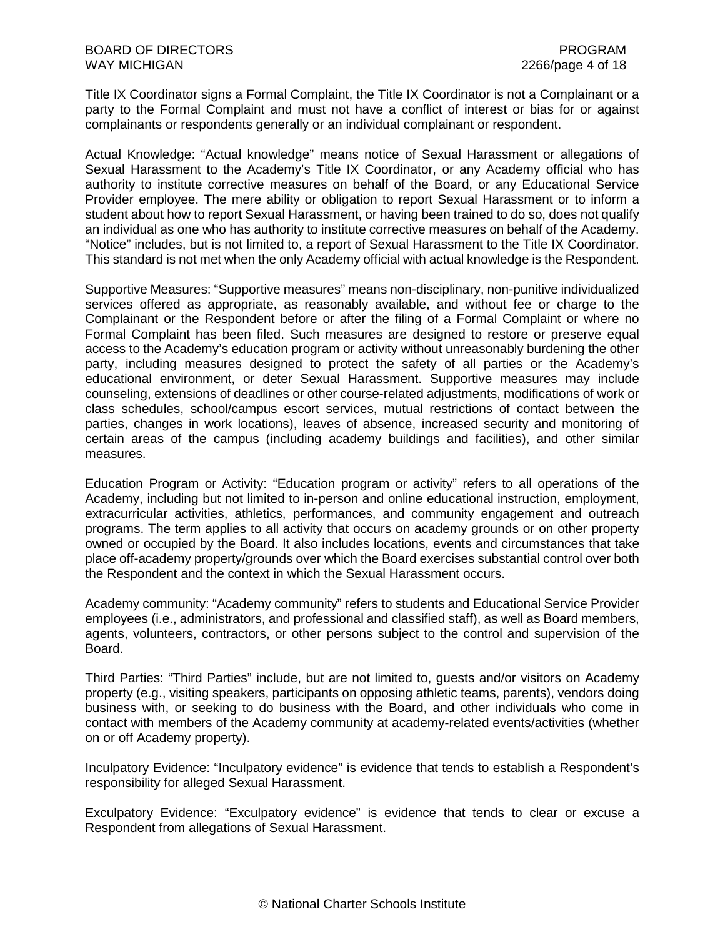Title IX Coordinator signs a Formal Complaint, the Title IX Coordinator is not a Complainant or a party to the Formal Complaint and must not have a conflict of interest or bias for or against complainants or respondents generally or an individual complainant or respondent.

Actual Knowledge: "Actual knowledge" means notice of Sexual Harassment or allegations of Sexual Harassment to the Academy's Title IX Coordinator, or any Academy official who has authority to institute corrective measures on behalf of the Board, or any Educational Service Provider employee. The mere ability or obligation to report Sexual Harassment or to inform a student about how to report Sexual Harassment, or having been trained to do so, does not qualify an individual as one who has authority to institute corrective measures on behalf of the Academy. "Notice" includes, but is not limited to, a report of Sexual Harassment to the Title IX Coordinator. This standard is not met when the only Academy official with actual knowledge is the Respondent.

Supportive Measures: "Supportive measures" means non-disciplinary, non-punitive individualized services offered as appropriate, as reasonably available, and without fee or charge to the Complainant or the Respondent before or after the filing of a Formal Complaint or where no Formal Complaint has been filed. Such measures are designed to restore or preserve equal access to the Academy's education program or activity without unreasonably burdening the other party, including measures designed to protect the safety of all parties or the Academy's educational environment, or deter Sexual Harassment. Supportive measures may include counseling, extensions of deadlines or other course-related adjustments, modifications of work or class schedules, school/campus escort services, mutual restrictions of contact between the parties, changes in work locations), leaves of absence, increased security and monitoring of certain areas of the campus (including academy buildings and facilities), and other similar measures.

Education Program or Activity: "Education program or activity" refers to all operations of the Academy, including but not limited to in-person and online educational instruction, employment, extracurricular activities, athletics, performances, and community engagement and outreach programs. The term applies to all activity that occurs on academy grounds or on other property owned or occupied by the Board. It also includes locations, events and circumstances that take place off-academy property/grounds over which the Board exercises substantial control over both the Respondent and the context in which the Sexual Harassment occurs.

Academy community: "Academy community" refers to students and Educational Service Provider employees (i.e., administrators, and professional and classified staff), as well as Board members, agents, volunteers, contractors, or other persons subject to the control and supervision of the Board.

Third Parties: "Third Parties" include, but are not limited to, guests and/or visitors on Academy property (e.g., visiting speakers, participants on opposing athletic teams, parents), vendors doing business with, or seeking to do business with the Board, and other individuals who come in contact with members of the Academy community at academy-related events/activities (whether on or off Academy property).

Inculpatory Evidence: "Inculpatory evidence" is evidence that tends to establish a Respondent's responsibility for alleged Sexual Harassment.

Exculpatory Evidence: "Exculpatory evidence" is evidence that tends to clear or excuse a Respondent from allegations of Sexual Harassment.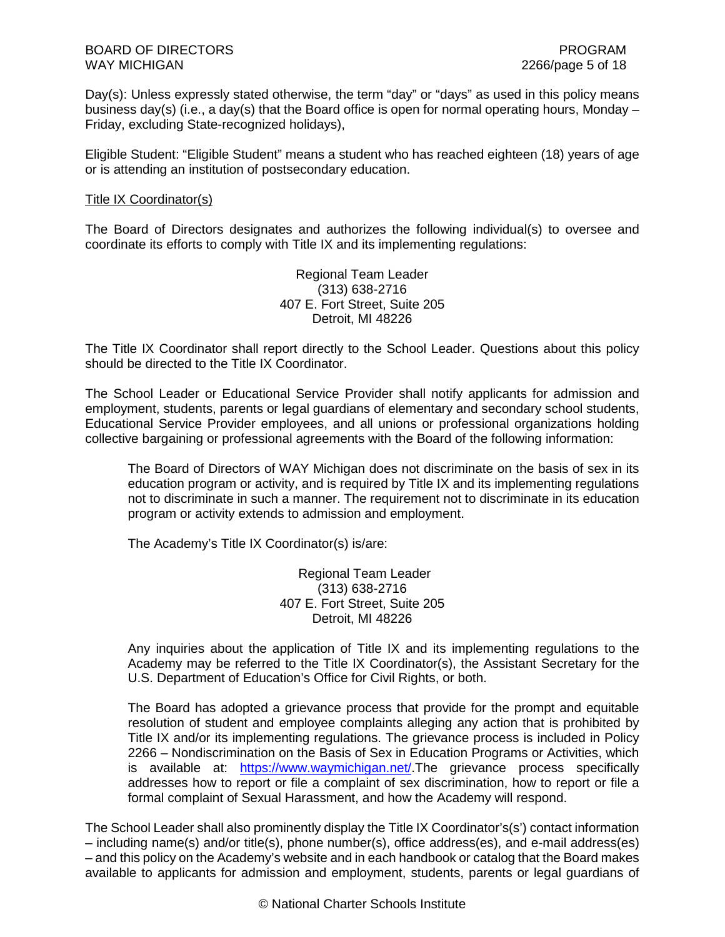Day(s): Unless expressly stated otherwise, the term "day" or "days" as used in this policy means business day(s) (i.e., a day(s) that the Board office is open for normal operating hours, Monday  $-$ Friday, excluding State-recognized holidays),

Eligible Student: "Eligible Student" means a student who has reached eighteen (18) years of age or is attending an institution of postsecondary education.

## Title IX Coordinator(s)

The Board of Directors designates and authorizes the following individual(s) to oversee and coordinate its efforts to comply with Title IX and its implementing regulations:

> Regional Team Leader (313) 638-2716 407 E. Fort Street, Suite 205 Detroit, MI 48226

The Title IX Coordinator shall report directly to the School Leader. Questions about this policy should be directed to the Title IX Coordinator.

The School Leader or Educational Service Provider shall notify applicants for admission and employment, students, parents or legal guardians of elementary and secondary school students, Educational Service Provider employees, and all unions or professional organizations holding collective bargaining or professional agreements with the Board of the following information:

The Board of Directors of WAY Michigan does not discriminate on the basis of sex in its education program or activity, and is required by Title IX and its implementing regulations not to discriminate in such a manner. The requirement not to discriminate in its education program or activity extends to admission and employment.

The Academy's Title IX Coordinator(s) is/are:

Regional Team Leader (313) 638-2716 407 E. Fort Street, Suite 205 Detroit, MI 48226

Any inquiries about the application of Title IX and its implementing regulations to the Academy may be referred to the Title IX Coordinator(s), the Assistant Secretary for the U.S. Department of Education's Office for Civil Rights, or both.

The Board has adopted a grievance process that provide for the prompt and equitable resolution of student and employee complaints alleging any action that is prohibited by Title IX and/or its implementing regulations. The grievance process is included in Policy 2266 – Nondiscrimination on the Basis of Sex in Education Programs or Activities, which is available at: https://www.waymichigan.net/.The grievance process specifically addresses how to report or file a complaint of sex discrimination, how to report or file a formal complaint of Sexual Harassment, and how the Academy will respond.

The School Leader shall also prominently display the Title IX Coordinator's(s') contact information – including name(s) and/or title(s), phone number(s), office address(es), and e-mail address(es) – and this policy on the Academy's website and in each handbook or catalog that the Board makes available to applicants for admission and employment, students, parents or legal guardians of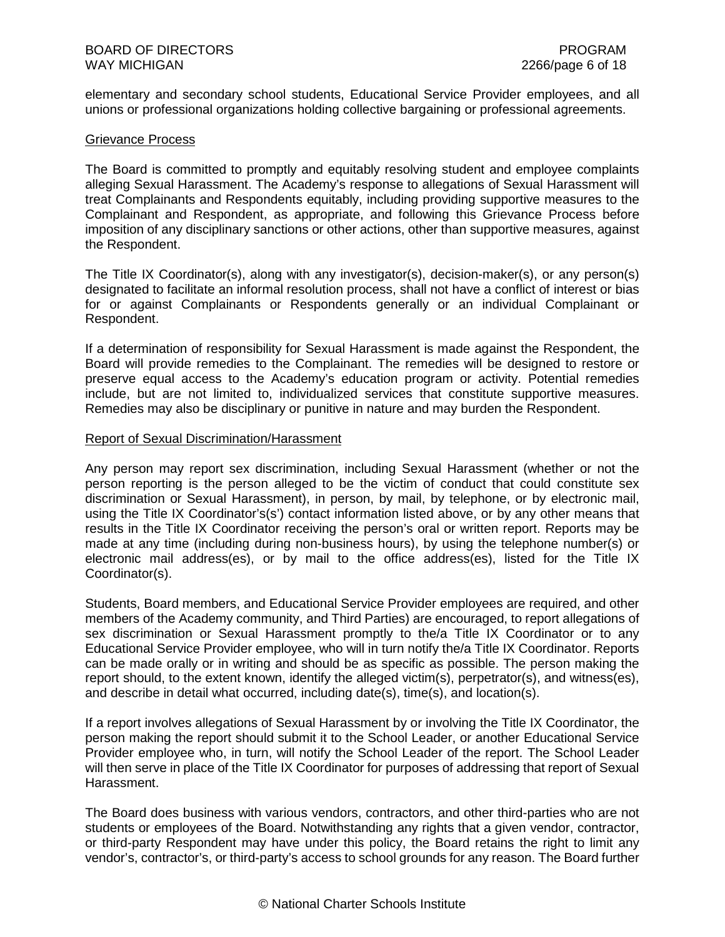elementary and secondary school students, Educational Service Provider employees, and all unions or professional organizations holding collective bargaining or professional agreements.

#### Grievance Process

The Board is committed to promptly and equitably resolving student and employee complaints alleging Sexual Harassment. The Academy's response to allegations of Sexual Harassment will treat Complainants and Respondents equitably, including providing supportive measures to the Complainant and Respondent, as appropriate, and following this Grievance Process before imposition of any disciplinary sanctions or other actions, other than supportive measures, against the Respondent.

The Title IX Coordinator(s), along with any investigator(s), decision-maker(s), or any person(s) designated to facilitate an informal resolution process, shall not have a conflict of interest or bias for or against Complainants or Respondents generally or an individual Complainant or Respondent.

If a determination of responsibility for Sexual Harassment is made against the Respondent, the Board will provide remedies to the Complainant. The remedies will be designed to restore or preserve equal access to the Academy's education program or activity. Potential remedies include, but are not limited to, individualized services that constitute supportive measures. Remedies may also be disciplinary or punitive in nature and may burden the Respondent.

## Report of Sexual Discrimination/Harassment

Any person may report sex discrimination, including Sexual Harassment (whether or not the person reporting is the person alleged to be the victim of conduct that could constitute sex discrimination or Sexual Harassment), in person, by mail, by telephone, or by electronic mail, using the Title IX Coordinator's(s') contact information listed above, or by any other means that results in the Title IX Coordinator receiving the person's oral or written report. Reports may be made at any time (including during non-business hours), by using the telephone number(s) or electronic mail address(es), or by mail to the office address(es), listed for the Title IX Coordinator(s).

Students, Board members, and Educational Service Provider employees are required, and other members of the Academy community, and Third Parties) are encouraged, to report allegations of sex discrimination or Sexual Harassment promptly to the/a Title IX Coordinator or to any Educational Service Provider employee, who will in turn notify the/a Title IX Coordinator. Reports can be made orally or in writing and should be as specific as possible. The person making the report should, to the extent known, identify the alleged victim(s), perpetrator(s), and witness(es), and describe in detail what occurred, including date(s), time(s), and location(s).

If a report involves allegations of Sexual Harassment by or involving the Title IX Coordinator, the person making the report should submit it to the School Leader, or another Educational Service Provider employee who, in turn, will notify the School Leader of the report. The School Leader will then serve in place of the Title IX Coordinator for purposes of addressing that report of Sexual Harassment.

The Board does business with various vendors, contractors, and other third-parties who are not students or employees of the Board. Notwithstanding any rights that a given vendor, contractor, or third-party Respondent may have under this policy, the Board retains the right to limit any vendor's, contractor's, or third-party's access to school grounds for any reason. The Board further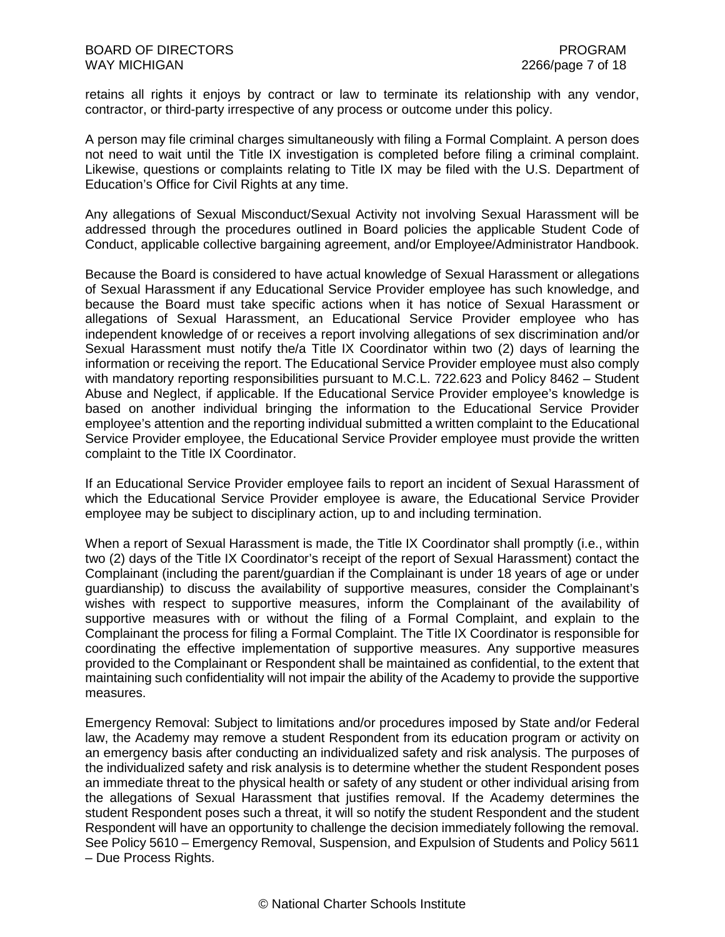retains all rights it enjoys by contract or law to terminate its relationship with any vendor, contractor, or third-party irrespective of any process or outcome under this policy.

A person may file criminal charges simultaneously with filing a Formal Complaint. A person does not need to wait until the Title IX investigation is completed before filing a criminal complaint. Likewise, questions or complaints relating to Title IX may be filed with the U.S. Department of Education's Office for Civil Rights at any time.

Any allegations of Sexual Misconduct/Sexual Activity not involving Sexual Harassment will be addressed through the procedures outlined in Board policies the applicable Student Code of Conduct, applicable collective bargaining agreement, and/or Employee/Administrator Handbook.

Because the Board is considered to have actual knowledge of Sexual Harassment or allegations of Sexual Harassment if any Educational Service Provider employee has such knowledge, and because the Board must take specific actions when it has notice of Sexual Harassment or allegations of Sexual Harassment, an Educational Service Provider employee who has independent knowledge of or receives a report involving allegations of sex discrimination and/or Sexual Harassment must notify the/a Title IX Coordinator within two (2) days of learning the information or receiving the report. The Educational Service Provider employee must also comply with mandatory reporting responsibilities pursuant to M.C.L. 722.623 and Policy 8462 – Student Abuse and Neglect, if applicable. If the Educational Service Provider employee's knowledge is based on another individual bringing the information to the Educational Service Provider employee's attention and the reporting individual submitted a written complaint to the Educational Service Provider employee, the Educational Service Provider employee must provide the written complaint to the Title IX Coordinator.

If an Educational Service Provider employee fails to report an incident of Sexual Harassment of which the Educational Service Provider employee is aware, the Educational Service Provider employee may be subject to disciplinary action, up to and including termination.

When a report of Sexual Harassment is made, the Title IX Coordinator shall promptly (i.e., within two (2) days of the Title IX Coordinator's receipt of the report of Sexual Harassment) contact the Complainant (including the parent/guardian if the Complainant is under 18 years of age or under guardianship) to discuss the availability of supportive measures, consider the Complainant's wishes with respect to supportive measures, inform the Complainant of the availability of supportive measures with or without the filing of a Formal Complaint, and explain to the Complainant the process for filing a Formal Complaint. The Title IX Coordinator is responsible for coordinating the effective implementation of supportive measures. Any supportive measures provided to the Complainant or Respondent shall be maintained as confidential, to the extent that maintaining such confidentiality will not impair the ability of the Academy to provide the supportive measures.

Emergency Removal: Subject to limitations and/or procedures imposed by State and/or Federal law, the Academy may remove a student Respondent from its education program or activity on an emergency basis after conducting an individualized safety and risk analysis. The purposes of the individualized safety and risk analysis is to determine whether the student Respondent poses an immediate threat to the physical health or safety of any student or other individual arising from the allegations of Sexual Harassment that justifies removal. If the Academy determines the student Respondent poses such a threat, it will so notify the student Respondent and the student Respondent will have an opportunity to challenge the decision immediately following the removal. See Policy 5610 – Emergency Removal, Suspension, and Expulsion of Students and Policy 5611 – Due Process Rights.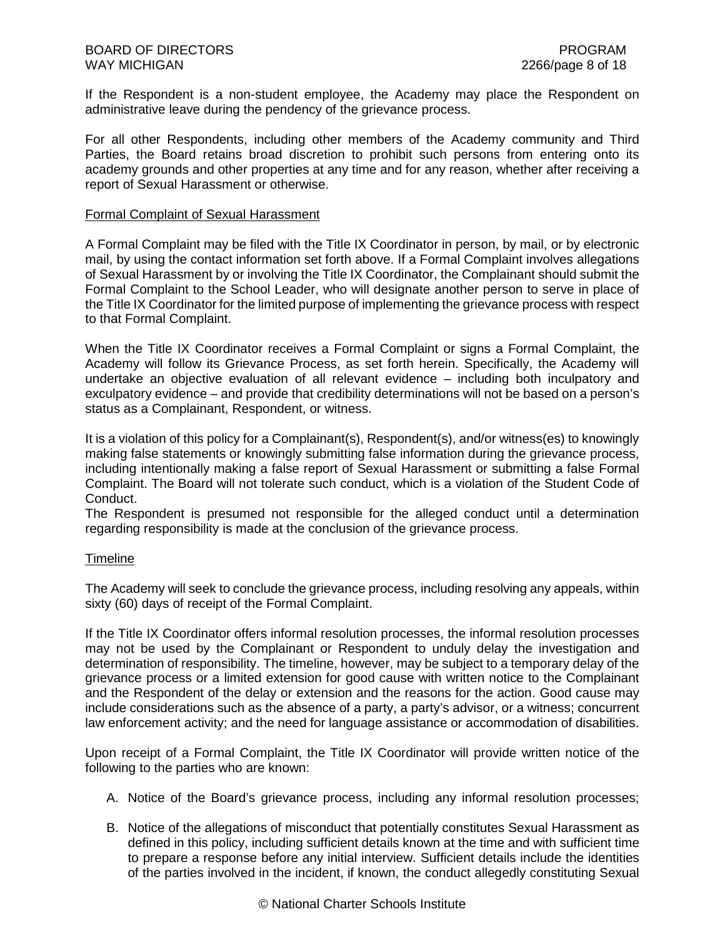If the Respondent is a non-student employee, the Academy may place the Respondent on administrative leave during the pendency of the grievance process.

For all other Respondents, including other members of the Academy community and Third Parties, the Board retains broad discretion to prohibit such persons from entering onto its academy grounds and other properties at any time and for any reason, whether after receiving a report of Sexual Harassment or otherwise.

#### Formal Complaint of Sexual Harassment

A Formal Complaint may be filed with the Title IX Coordinator in person, by mail, or by electronic mail, by using the contact information set forth above. If a Formal Complaint involves allegations of Sexual Harassment by or involving the Title IX Coordinator, the Complainant should submit the Formal Complaint to the School Leader, who will designate another person to serve in place of the Title IX Coordinator for the limited purpose of implementing the grievance process with respect to that Formal Complaint.

When the Title IX Coordinator receives a Formal Complaint or signs a Formal Complaint, the Academy will follow its Grievance Process, as set forth herein. Specifically, the Academy will undertake an objective evaluation of all relevant evidence – including both inculpatory and exculpatory evidence – and provide that credibility determinations will not be based on a person's status as a Complainant, Respondent, or witness.

It is a violation of this policy for a Complainant(s), Respondent(s), and/or witness(es) to knowingly making false statements or knowingly submitting false information during the grievance process, including intentionally making a false report of Sexual Harassment or submitting a false Formal Complaint. The Board will not tolerate such conduct, which is a violation of the Student Code of Conduct.

The Respondent is presumed not responsible for the alleged conduct until a determination regarding responsibility is made at the conclusion of the grievance process.

## **Timeline**

The Academy will seek to conclude the grievance process, including resolving any appeals, within sixty (60) days of receipt of the Formal Complaint.

If the Title IX Coordinator offers informal resolution processes, the informal resolution processes may not be used by the Complainant or Respondent to unduly delay the investigation and determination of responsibility. The timeline, however, may be subject to a temporary delay of the grievance process or a limited extension for good cause with written notice to the Complainant and the Respondent of the delay or extension and the reasons for the action. Good cause may include considerations such as the absence of a party, a party's advisor, or a witness; concurrent law enforcement activity; and the need for language assistance or accommodation of disabilities.

Upon receipt of a Formal Complaint, the Title IX Coordinator will provide written notice of the following to the parties who are known:

- A. Notice of the Board's grievance process, including any informal resolution processes;
- B. Notice of the allegations of misconduct that potentially constitutes Sexual Harassment as defined in this policy, including sufficient details known at the time and with sufficient time to prepare a response before any initial interview. Sufficient details include the identities of the parties involved in the incident, if known, the conduct allegedly constituting Sexual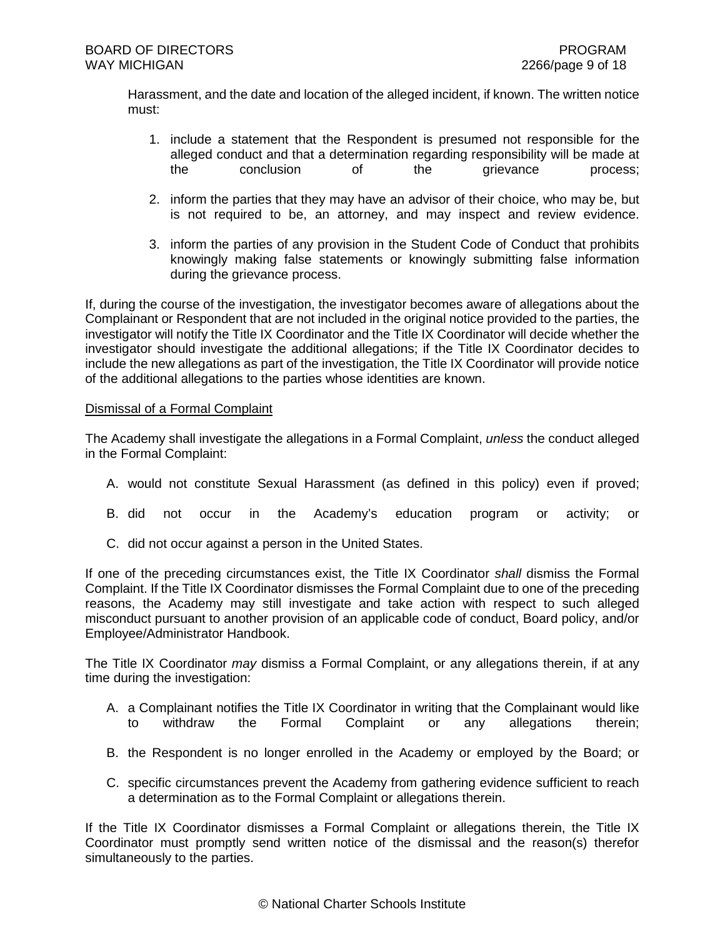Harassment, and the date and location of the alleged incident, if known. The written notice must:

- 1. include a statement that the Respondent is presumed not responsible for the alleged conduct and that a determination regarding responsibility will be made at the conclusion of the grievance process:
- 2. inform the parties that they may have an advisor of their choice, who may be, but is not required to be, an attorney, and may inspect and review evidence.
- 3. inform the parties of any provision in the Student Code of Conduct that prohibits knowingly making false statements or knowingly submitting false information during the grievance process.

If, during the course of the investigation, the investigator becomes aware of allegations about the Complainant or Respondent that are not included in the original notice provided to the parties, the investigator will notify the Title IX Coordinator and the Title IX Coordinator will decide whether the investigator should investigate the additional allegations; if the Title IX Coordinator decides to include the new allegations as part of the investigation, the Title IX Coordinator will provide notice of the additional allegations to the parties whose identities are known.

## Dismissal of a Formal Complaint

The Academy shall investigate the allegations in a Formal Complaint, *unless* the conduct alleged in the Formal Complaint:

- A. would not constitute Sexual Harassment (as defined in this policy) even if proved;
- B. did not occur in the Academy's education program or activity; or
- C. did not occur against a person in the United States.

If one of the preceding circumstances exist, the Title IX Coordinator *shall* dismiss the Formal Complaint. If the Title IX Coordinator dismisses the Formal Complaint due to one of the preceding reasons, the Academy may still investigate and take action with respect to such alleged misconduct pursuant to another provision of an applicable code of conduct, Board policy, and/or Employee/Administrator Handbook.

The Title IX Coordinator *may* dismiss a Formal Complaint, or any allegations therein, if at any time during the investigation:

- A. a Complainant notifies the Title IX Coordinator in writing that the Complainant would like to withdraw the Formal Complaint or any allegations therein;
- B. the Respondent is no longer enrolled in the Academy or employed by the Board; or
- C. specific circumstances prevent the Academy from gathering evidence sufficient to reach a determination as to the Formal Complaint or allegations therein.

If the Title IX Coordinator dismisses a Formal Complaint or allegations therein, the Title IX Coordinator must promptly send written notice of the dismissal and the reason(s) therefor simultaneously to the parties.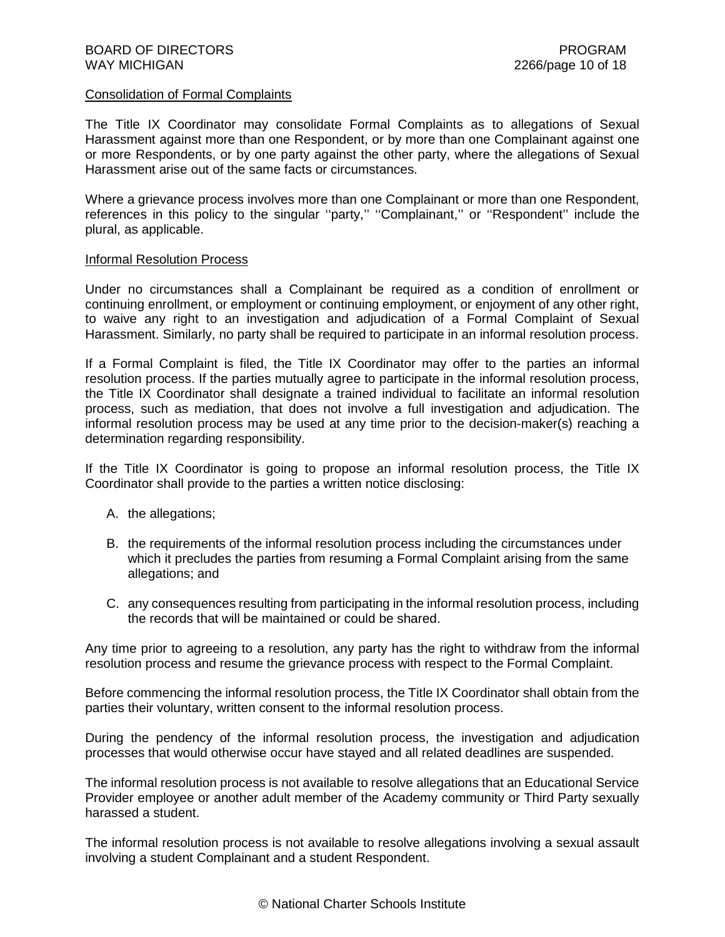## Consolidation of Formal Complaints

The Title IX Coordinator may consolidate Formal Complaints as to allegations of Sexual Harassment against more than one Respondent, or by more than one Complainant against one or more Respondents, or by one party against the other party, where the allegations of Sexual Harassment arise out of the same facts or circumstances.

Where a grievance process involves more than one Complainant or more than one Respondent, references in this policy to the singular "party," "Complainant," or "Respondent" include the plural, as applicable.

#### Informal Resolution Process

Under no circumstances shall a Complainant be required as a condition of enrollment or continuing enrollment, or employment or continuing employment, or enjoyment of any other right, to waive any right to an investigation and adjudication of a Formal Complaint of Sexual Harassment. Similarly, no party shall be required to participate in an informal resolution process.

If a Formal Complaint is filed, the Title IX Coordinator may offer to the parties an informal resolution process. If the parties mutually agree to participate in the informal resolution process, the Title IX Coordinator shall designate a trained individual to facilitate an informal resolution process, such as mediation, that does not involve a full investigation and adjudication. The informal resolution process may be used at any time prior to the decision-maker(s) reaching a determination regarding responsibility.

If the Title IX Coordinator is going to propose an informal resolution process, the Title IX Coordinator shall provide to the parties a written notice disclosing:

- A. the allegations;
- B. the requirements of the informal resolution process including the circumstances under which it precludes the parties from resuming a Formal Complaint arising from the same allegations; and
- C. any consequences resulting from participating in the informal resolution process, including the records that will be maintained or could be shared.

Any time prior to agreeing to a resolution, any party has the right to withdraw from the informal resolution process and resume the grievance process with respect to the Formal Complaint.

Before commencing the informal resolution process, the Title IX Coordinator shall obtain from the parties their voluntary, written consent to the informal resolution process.

During the pendency of the informal resolution process, the investigation and adjudication processes that would otherwise occur have stayed and all related deadlines are suspended.

The informal resolution process is not available to resolve allegations that an Educational Service Provider employee or another adult member of the Academy community or Third Party sexually harassed a student.

The informal resolution process is not available to resolve allegations involving a sexual assault involving a student Complainant and a student Respondent.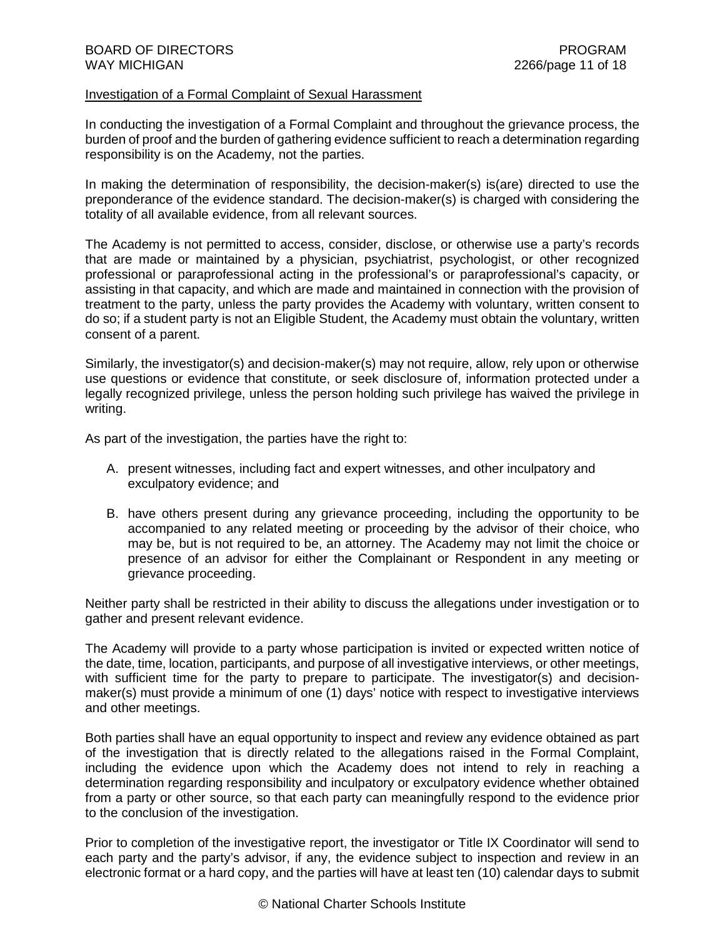#### Investigation of a Formal Complaint of Sexual Harassment

In conducting the investigation of a Formal Complaint and throughout the grievance process, the burden of proof and the burden of gathering evidence sufficient to reach a determination regarding responsibility is on the Academy, not the parties.

In making the determination of responsibility, the decision-maker(s) is(are) directed to use the preponderance of the evidence standard. The decision-maker(s) is charged with considering the totality of all available evidence, from all relevant sources.

The Academy is not permitted to access, consider, disclose, or otherwise use a party's records that are made or maintained by a physician, psychiatrist, psychologist, or other recognized professional or paraprofessional acting in the professional's or paraprofessional's capacity, or assisting in that capacity, and which are made and maintained in connection with the provision of treatment to the party, unless the party provides the Academy with voluntary, written consent to do so; if a student party is not an Eligible Student, the Academy must obtain the voluntary, written consent of a parent.

Similarly, the investigator(s) and decision-maker(s) may not require, allow, rely upon or otherwise use questions or evidence that constitute, or seek disclosure of, information protected under a legally recognized privilege, unless the person holding such privilege has waived the privilege in writing.

As part of the investigation, the parties have the right to:

- A. present witnesses, including fact and expert witnesses, and other inculpatory and exculpatory evidence; and
- B. have others present during any grievance proceeding, including the opportunity to be accompanied to any related meeting or proceeding by the advisor of their choice, who may be, but is not required to be, an attorney. The Academy may not limit the choice or presence of an advisor for either the Complainant or Respondent in any meeting or grievance proceeding.

Neither party shall be restricted in their ability to discuss the allegations under investigation or to gather and present relevant evidence.

The Academy will provide to a party whose participation is invited or expected written notice of the date, time, location, participants, and purpose of all investigative interviews, or other meetings, with sufficient time for the party to prepare to participate. The investigator(s) and decisionmaker(s) must provide a minimum of one (1) days' notice with respect to investigative interviews and other meetings.

Both parties shall have an equal opportunity to inspect and review any evidence obtained as part of the investigation that is directly related to the allegations raised in the Formal Complaint, including the evidence upon which the Academy does not intend to rely in reaching a determination regarding responsibility and inculpatory or exculpatory evidence whether obtained from a party or other source, so that each party can meaningfully respond to the evidence prior to the conclusion of the investigation.

Prior to completion of the investigative report, the investigator or Title IX Coordinator will send to each party and the party's advisor, if any, the evidence subject to inspection and review in an electronic format or a hard copy, and the parties will have at least ten (10) calendar days to submit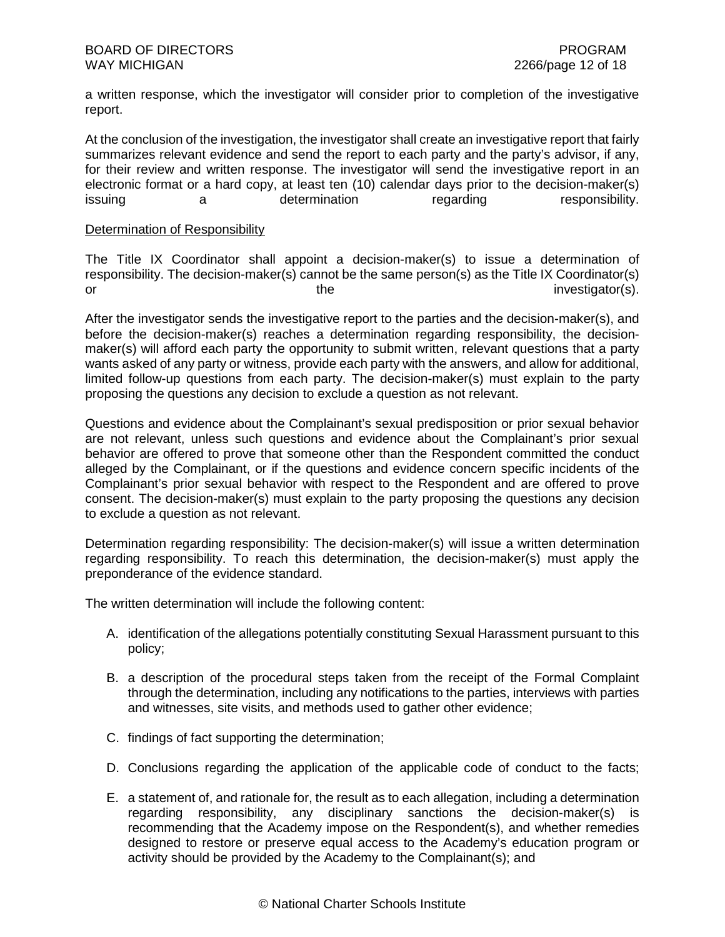a written response, which the investigator will consider prior to completion of the investigative report.

At the conclusion of the investigation, the investigator shall create an investigative report that fairly summarizes relevant evidence and send the report to each party and the party's advisor, if any, for their review and written response. The investigator will send the investigative report in an electronic format or a hard copy, at least ten (10) calendar days prior to the decision-maker(s) issuing a determination regarding responsibility.

## Determination of Responsibility

The Title IX Coordinator shall appoint a decision-maker(s) to issue a determination of responsibility. The decision-maker(s) cannot be the same person(s) as the Title IX Coordinator(s) or the the investigator(s).

After the investigator sends the investigative report to the parties and the decision-maker(s), and before the decision-maker(s) reaches a determination regarding responsibility, the decisionmaker(s) will afford each party the opportunity to submit written, relevant questions that a party wants asked of any party or witness, provide each party with the answers, and allow for additional, limited follow-up questions from each party. The decision-maker(s) must explain to the party proposing the questions any decision to exclude a question as not relevant.

Questions and evidence about the Complainant's sexual predisposition or prior sexual behavior are not relevant, unless such questions and evidence about the Complainant's prior sexual behavior are offered to prove that someone other than the Respondent committed the conduct alleged by the Complainant, or if the questions and evidence concern specific incidents of the Complainant's prior sexual behavior with respect to the Respondent and are offered to prove consent. The decision-maker(s) must explain to the party proposing the questions any decision to exclude a question as not relevant.

Determination regarding responsibility: The decision-maker(s) will issue a written determination regarding responsibility. To reach this determination, the decision-maker(s) must apply the preponderance of the evidence standard.

The written determination will include the following content:

- A. identification of the allegations potentially constituting Sexual Harassment pursuant to this policy;
- B. a description of the procedural steps taken from the receipt of the Formal Complaint through the determination, including any notifications to the parties, interviews with parties and witnesses, site visits, and methods used to gather other evidence;
- C. findings of fact supporting the determination;
- D. Conclusions regarding the application of the applicable code of conduct to the facts;
- E. a statement of, and rationale for, the result as to each allegation, including a determination regarding responsibility, any disciplinary sanctions the decision-maker(s) is recommending that the Academy impose on the Respondent(s), and whether remedies designed to restore or preserve equal access to the Academy's education program or activity should be provided by the Academy to the Complainant(s); and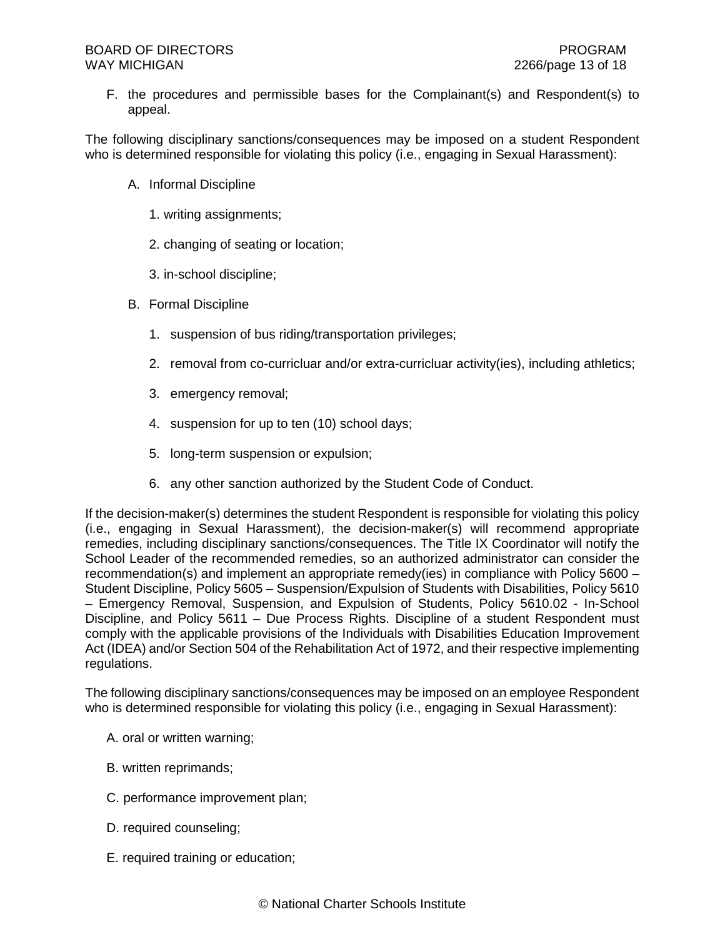F. the procedures and permissible bases for the Complainant(s) and Respondent(s) to appeal.

The following disciplinary sanctions/consequences may be imposed on a student Respondent who is determined responsible for violating this policy (i.e., engaging in Sexual Harassment):

- A. Informal Discipline
	- 1. writing assignments;
	- 2. changing of seating or location;
	- 3. in-school discipline;
- B. Formal Discipline
	- 1. suspension of bus riding/transportation privileges;
	- 2. removal from co-curricluar and/or extra-curricluar activity(ies), including athletics;
	- 3. emergency removal;
	- 4. suspension for up to ten (10) school days;
	- 5. long-term suspension or expulsion;
	- 6. any other sanction authorized by the Student Code of Conduct.

If the decision-maker(s) determines the student Respondent is responsible for violating this policy (i.e., engaging in Sexual Harassment), the decision-maker(s) will recommend appropriate remedies, including disciplinary sanctions/consequences. The Title IX Coordinator will notify the School Leader of the recommended remedies, so an authorized administrator can consider the recommendation(s) and implement an appropriate remedy(ies) in compliance with Policy 5600 – Student Discipline, Policy 5605 – Suspension/Expulsion of Students with Disabilities, Policy 5610 – Emergency Removal, Suspension, and Expulsion of Students, Policy 5610.02 - In-School Discipline, and Policy 5611 – Due Process Rights. Discipline of a student Respondent must comply with the applicable provisions of the Individuals with Disabilities Education Improvement Act (IDEA) and/or Section 504 of the Rehabilitation Act of 1972, and their respective implementing regulations.

The following disciplinary sanctions/consequences may be imposed on an employee Respondent who is determined responsible for violating this policy (i.e., engaging in Sexual Harassment):

- A. oral or written warning;
- B. written reprimands;
- C. performance improvement plan;
- D. required counseling;
- E. required training or education;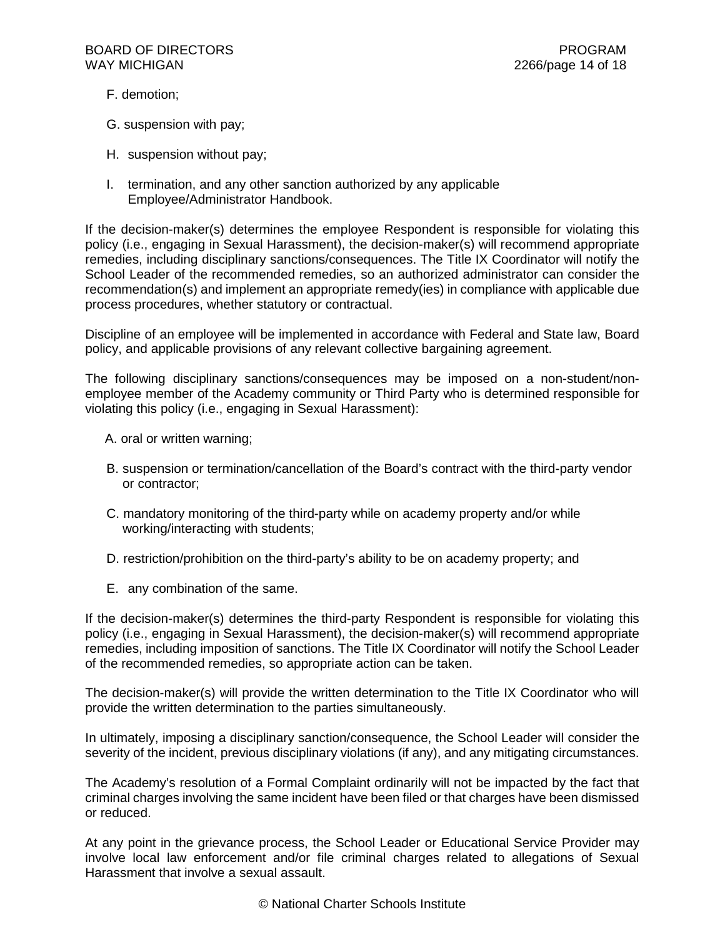- F. demotion;
- G. suspension with pay;
- H. suspension without pay;
- I. termination, and any other sanction authorized by any applicable Employee/Administrator Handbook.

If the decision-maker(s) determines the employee Respondent is responsible for violating this policy (i.e., engaging in Sexual Harassment), the decision-maker(s) will recommend appropriate remedies, including disciplinary sanctions/consequences. The Title IX Coordinator will notify the School Leader of the recommended remedies, so an authorized administrator can consider the recommendation(s) and implement an appropriate remedy(ies) in compliance with applicable due process procedures, whether statutory or contractual.

Discipline of an employee will be implemented in accordance with Federal and State law, Board policy, and applicable provisions of any relevant collective bargaining agreement.

The following disciplinary sanctions/consequences may be imposed on a non-student/nonemployee member of the Academy community or Third Party who is determined responsible for violating this policy (i.e., engaging in Sexual Harassment):

- A. oral or written warning;
- B. suspension or termination/cancellation of the Board's contract with the third-party vendor or contractor;
- C. mandatory monitoring of the third-party while on academy property and/or while working/interacting with students;
- D. restriction/prohibition on the third-party's ability to be on academy property; and
- E. any combination of the same.

If the decision-maker(s) determines the third-party Respondent is responsible for violating this policy (i.e., engaging in Sexual Harassment), the decision-maker(s) will recommend appropriate remedies, including imposition of sanctions. The Title IX Coordinator will notify the School Leader of the recommended remedies, so appropriate action can be taken.

The decision-maker(s) will provide the written determination to the Title IX Coordinator who will provide the written determination to the parties simultaneously.

In ultimately, imposing a disciplinary sanction/consequence, the School Leader will consider the severity of the incident, previous disciplinary violations (if any), and any mitigating circumstances.

The Academy's resolution of a Formal Complaint ordinarily will not be impacted by the fact that criminal charges involving the same incident have been filed or that charges have been dismissed or reduced.

At any point in the grievance process, the School Leader or Educational Service Provider may involve local law enforcement and/or file criminal charges related to allegations of Sexual Harassment that involve a sexual assault.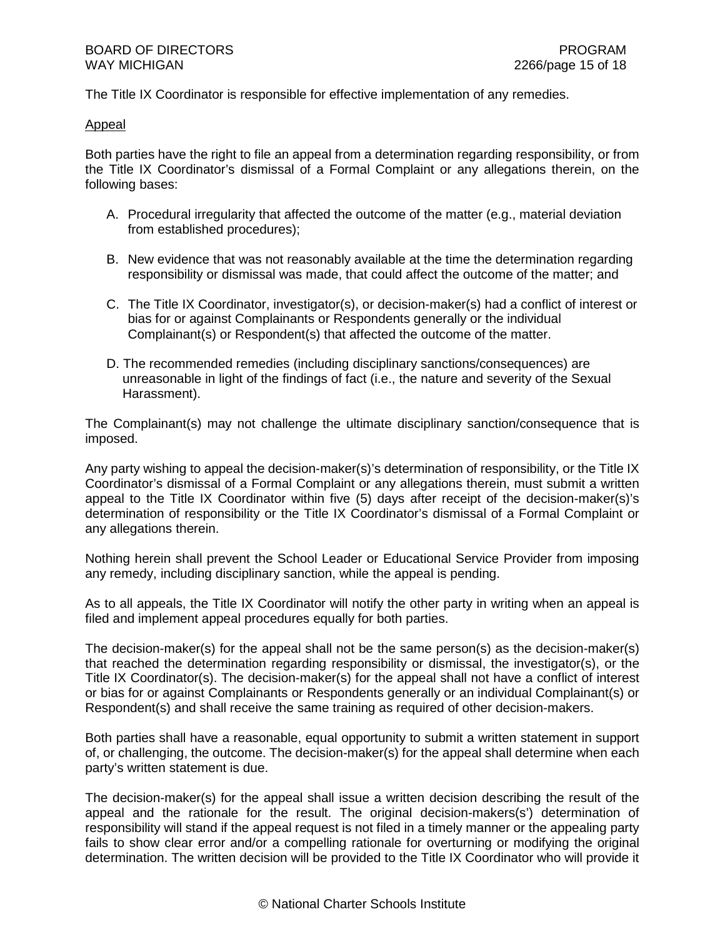The Title IX Coordinator is responsible for effective implementation of any remedies.

## Appeal

Both parties have the right to file an appeal from a determination regarding responsibility, or from the Title IX Coordinator's dismissal of a Formal Complaint or any allegations therein, on the following bases:

- A. Procedural irregularity that affected the outcome of the matter (e.g., material deviation from established procedures);
- B. New evidence that was not reasonably available at the time the determination regarding responsibility or dismissal was made, that could affect the outcome of the matter; and
- C. The Title IX Coordinator, investigator(s), or decision-maker(s) had a conflict of interest or bias for or against Complainants or Respondents generally or the individual Complainant(s) or Respondent(s) that affected the outcome of the matter.
- D. The recommended remedies (including disciplinary sanctions/consequences) are unreasonable in light of the findings of fact (i.e., the nature and severity of the Sexual Harassment).

The Complainant(s) may not challenge the ultimate disciplinary sanction/consequence that is imposed.

Any party wishing to appeal the decision-maker(s)'s determination of responsibility, or the Title IX Coordinator's dismissal of a Formal Complaint or any allegations therein, must submit a written appeal to the Title IX Coordinator within five (5) days after receipt of the decision-maker(s)'s determination of responsibility or the Title IX Coordinator's dismissal of a Formal Complaint or any allegations therein.

Nothing herein shall prevent the School Leader or Educational Service Provider from imposing any remedy, including disciplinary sanction, while the appeal is pending.

As to all appeals, the Title IX Coordinator will notify the other party in writing when an appeal is filed and implement appeal procedures equally for both parties.

The decision-maker(s) for the appeal shall not be the same person(s) as the decision-maker(s) that reached the determination regarding responsibility or dismissal, the investigator(s), or the Title IX Coordinator(s). The decision-maker(s) for the appeal shall not have a conflict of interest or bias for or against Complainants or Respondents generally or an individual Complainant(s) or Respondent(s) and shall receive the same training as required of other decision-makers.

Both parties shall have a reasonable, equal opportunity to submit a written statement in support of, or challenging, the outcome. The decision-maker(s) for the appeal shall determine when each party's written statement is due.

The decision-maker(s) for the appeal shall issue a written decision describing the result of the appeal and the rationale for the result. The original decision-makers(s') determination of responsibility will stand if the appeal request is not filed in a timely manner or the appealing party fails to show clear error and/or a compelling rationale for overturning or modifying the original determination. The written decision will be provided to the Title IX Coordinator who will provide it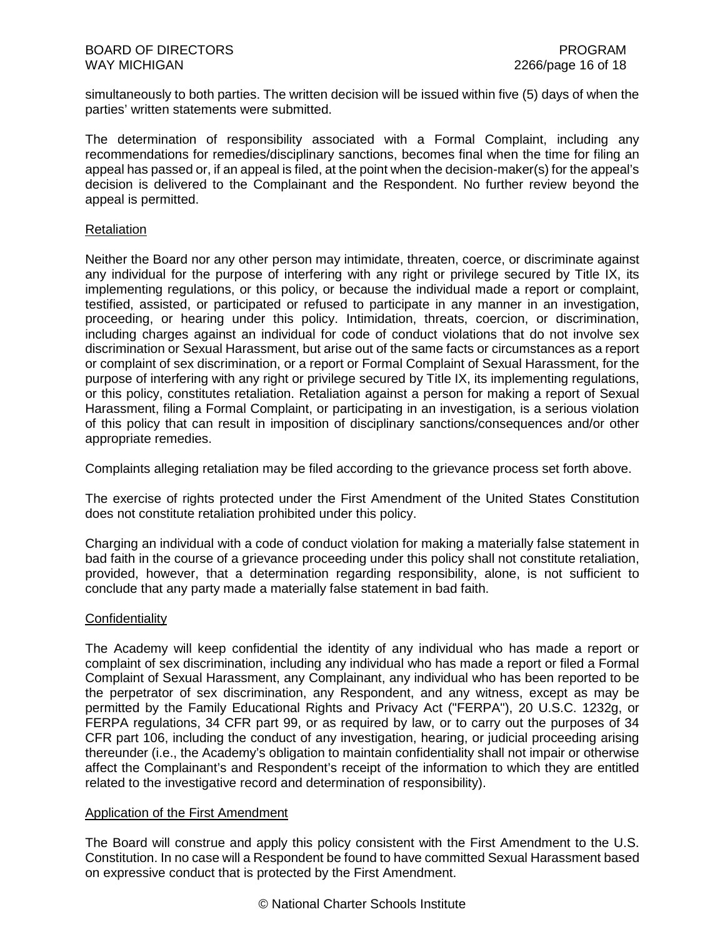simultaneously to both parties. The written decision will be issued within five (5) days of when the parties' written statements were submitted.

The determination of responsibility associated with a Formal Complaint, including any recommendations for remedies/disciplinary sanctions, becomes final when the time for filing an appeal has passed or, if an appeal is filed, at the point when the decision-maker(s) for the appeal's decision is delivered to the Complainant and the Respondent. No further review beyond the appeal is permitted.

## Retaliation

Neither the Board nor any other person may intimidate, threaten, coerce, or discriminate against any individual for the purpose of interfering with any right or privilege secured by Title IX, its implementing regulations, or this policy, or because the individual made a report or complaint, testified, assisted, or participated or refused to participate in any manner in an investigation, proceeding, or hearing under this policy. Intimidation, threats, coercion, or discrimination, including charges against an individual for code of conduct violations that do not involve sex discrimination or Sexual Harassment, but arise out of the same facts or circumstances as a report or complaint of sex discrimination, or a report or Formal Complaint of Sexual Harassment, for the purpose of interfering with any right or privilege secured by Title IX, its implementing regulations, or this policy, constitutes retaliation. Retaliation against a person for making a report of Sexual Harassment, filing a Formal Complaint, or participating in an investigation, is a serious violation of this policy that can result in imposition of disciplinary sanctions/consequences and/or other appropriate remedies.

Complaints alleging retaliation may be filed according to the grievance process set forth above.

The exercise of rights protected under the First Amendment of the United States Constitution does not constitute retaliation prohibited under this policy.

Charging an individual with a code of conduct violation for making a materially false statement in bad faith in the course of a grievance proceeding under this policy shall not constitute retaliation, provided, however, that a determination regarding responsibility, alone, is not sufficient to conclude that any party made a materially false statement in bad faith.

## **Confidentiality**

The Academy will keep confidential the identity of any individual who has made a report or complaint of sex discrimination, including any individual who has made a report or filed a Formal Complaint of Sexual Harassment, any Complainant, any individual who has been reported to be the perpetrator of sex discrimination, any Respondent, and any witness, except as may be permitted by the Family Educational Rights and Privacy Act ("FERPA"), 20 U.S.C. 1232g, or FERPA regulations, 34 CFR part 99, or as required by law, or to carry out the purposes of 34 CFR part 106, including the conduct of any investigation, hearing, or judicial proceeding arising thereunder (i.e., the Academy's obligation to maintain confidentiality shall not impair or otherwise affect the Complainant's and Respondent's receipt of the information to which they are entitled related to the investigative record and determination of responsibility).

#### Application of the First Amendment

The Board will construe and apply this policy consistent with the First Amendment to the U.S. Constitution. In no case will a Respondent be found to have committed Sexual Harassment based on expressive conduct that is protected by the First Amendment.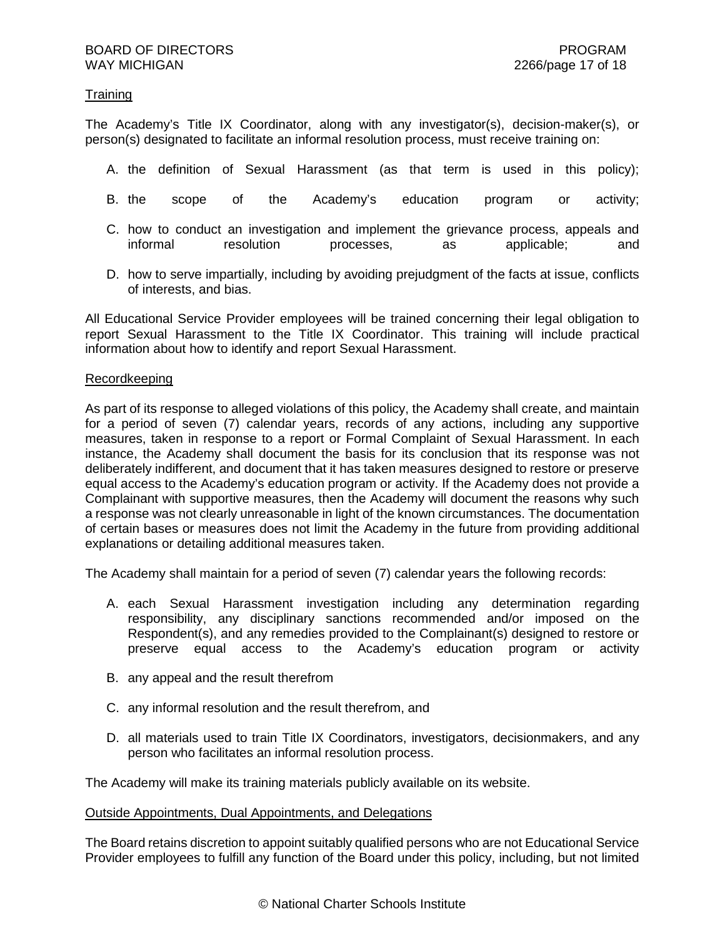## **Training**

The Academy's Title IX Coordinator, along with any investigator(s), decision-maker(s), or person(s) designated to facilitate an informal resolution process, must receive training on:

- A. the definition of Sexual Harassment (as that term is used in this policy);
- B. the scope of the Academy's education program or activity;
- C. how to conduct an investigation and implement the grievance process, appeals and informal resolution processes. as a applicable; and informal resolution processes, as applicable; and
- D. how to serve impartially, including by avoiding prejudgment of the facts at issue, conflicts of interests, and bias.

All Educational Service Provider employees will be trained concerning their legal obligation to report Sexual Harassment to the Title IX Coordinator. This training will include practical information about how to identify and report Sexual Harassment.

## Recordkeeping

As part of its response to alleged violations of this policy, the Academy shall create, and maintain for a period of seven (7) calendar years, records of any actions, including any supportive measures, taken in response to a report or Formal Complaint of Sexual Harassment. In each instance, the Academy shall document the basis for its conclusion that its response was not deliberately indifferent, and document that it has taken measures designed to restore or preserve equal access to the Academy's education program or activity. If the Academy does not provide a Complainant with supportive measures, then the Academy will document the reasons why such a response was not clearly unreasonable in light of the known circumstances. The documentation of certain bases or measures does not limit the Academy in the future from providing additional explanations or detailing additional measures taken.

The Academy shall maintain for a period of seven (7) calendar years the following records:

- A. each Sexual Harassment investigation including any determination regarding responsibility, any disciplinary sanctions recommended and/or imposed on the Respondent(s), and any remedies provided to the Complainant(s) designed to restore or preserve equal access to the Academy's education program or activity
- B. any appeal and the result therefrom
- C. any informal resolution and the result therefrom, and
- D. all materials used to train Title IX Coordinators, investigators, decisionmakers, and any person who facilitates an informal resolution process.

The Academy will make its training materials publicly available on its website.

#### Outside Appointments, Dual Appointments, and Delegations

The Board retains discretion to appoint suitably qualified persons who are not Educational Service Provider employees to fulfill any function of the Board under this policy, including, but not limited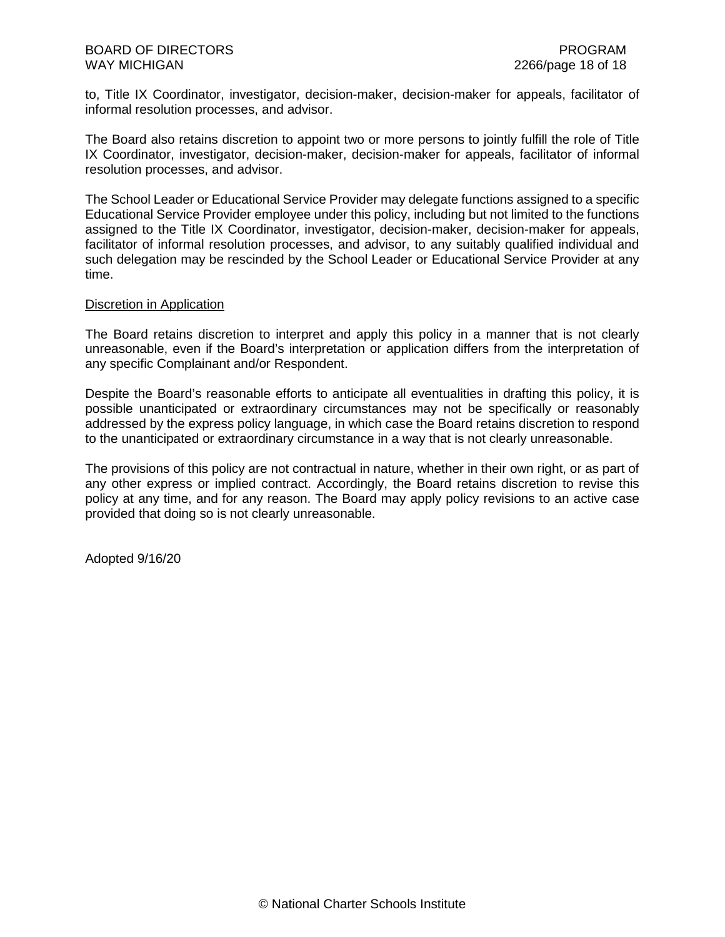to, Title IX Coordinator, investigator, decision-maker, decision-maker for appeals, facilitator of informal resolution processes, and advisor.

The Board also retains discretion to appoint two or more persons to jointly fulfill the role of Title IX Coordinator, investigator, decision-maker, decision-maker for appeals, facilitator of informal resolution processes, and advisor.

The School Leader or Educational Service Provider may delegate functions assigned to a specific Educational Service Provider employee under this policy, including but not limited to the functions assigned to the Title IX Coordinator, investigator, decision-maker, decision-maker for appeals, facilitator of informal resolution processes, and advisor, to any suitably qualified individual and such delegation may be rescinded by the School Leader or Educational Service Provider at any time.

## Discretion in Application

The Board retains discretion to interpret and apply this policy in a manner that is not clearly unreasonable, even if the Board's interpretation or application differs from the interpretation of any specific Complainant and/or Respondent.

Despite the Board's reasonable efforts to anticipate all eventualities in drafting this policy, it is possible unanticipated or extraordinary circumstances may not be specifically or reasonably addressed by the express policy language, in which case the Board retains discretion to respond to the unanticipated or extraordinary circumstance in a way that is not clearly unreasonable.

The provisions of this policy are not contractual in nature, whether in their own right, or as part of any other express or implied contract. Accordingly, the Board retains discretion to revise this policy at any time, and for any reason. The Board may apply policy revisions to an active case provided that doing so is not clearly unreasonable.

Adopted 9/16/20